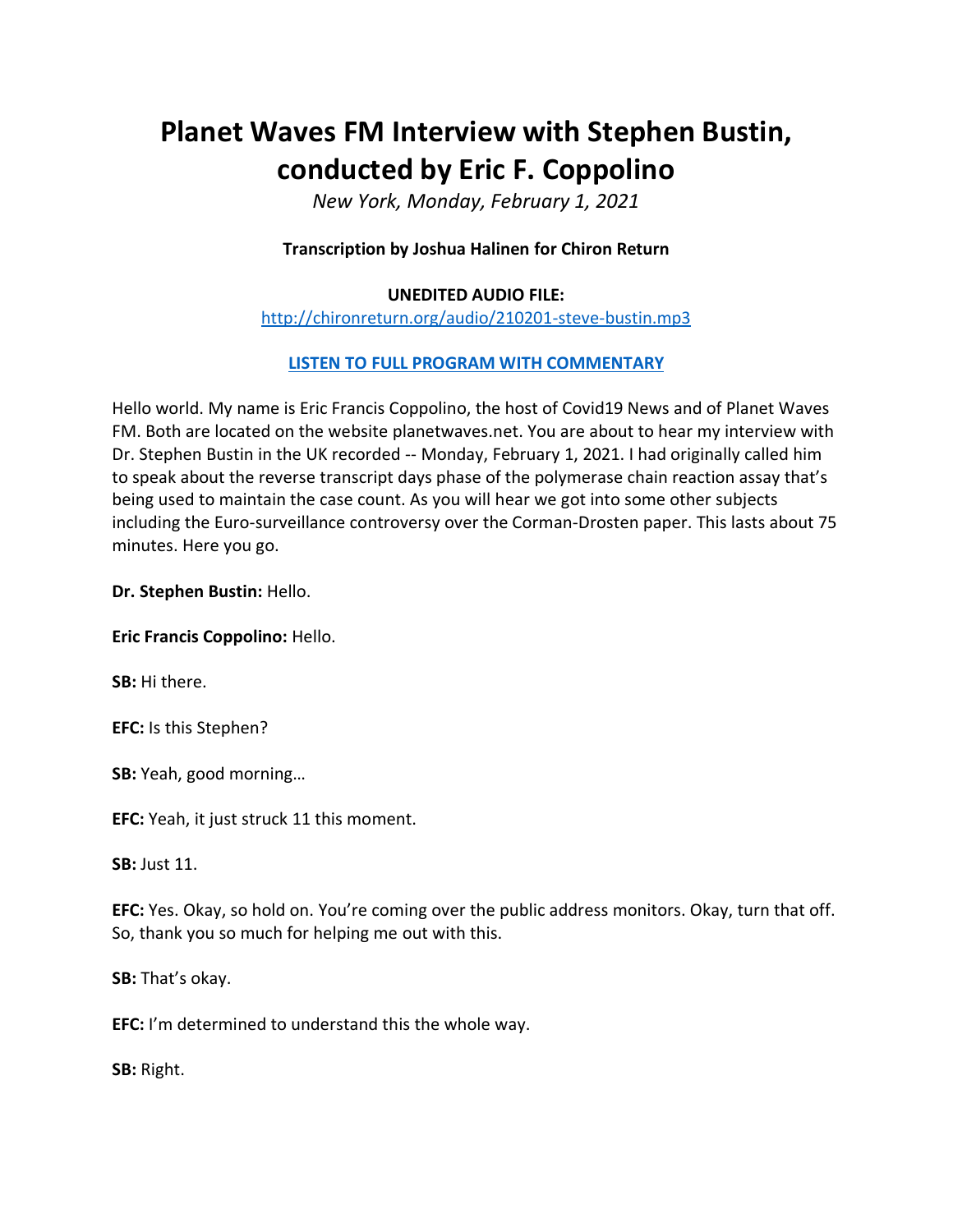# **Planet Waves FM Interview with Stephen Bustin, conducted by Eric F. Coppolino**

*New York, Monday, February 1, 2021*

## **Transcription by Joshua Halinen for Chiron Return**

#### **UNEDITED AUDIO FILE:**

<http://chironreturn.org/audio/210201-steve-bustin.mp3>

## **[LISTEN TO FULL PROGRAM](https://planetwaves.net/planet-waves-fm-interview-with-dr-stephen-bustin/) WITH COMMENTARY**

Hello world. My name is Eric Francis Coppolino, the host of Covid19 News and of Planet Waves FM. Both are located on the website planetwaves.net. You are about to hear my interview with Dr. Stephen Bustin in the UK recorded -- Monday, February 1, 2021. I had originally called him to speak about the reverse transcript days phase of the polymerase chain reaction assay that's being used to maintain the case count. As you will hear we got into some other subjects including the Euro-surveillance controversy over the Corman-Drosten paper. This lasts about 75 minutes. Here you go.

**Dr. Stephen Bustin:** Hello.

**Eric Francis Coppolino:** Hello.

**SB:** Hi there.

**EFC:** Is this Stephen?

**SB:** Yeah, good morning…

**EFC:** Yeah, it just struck 11 this moment.

**SB:** Just 11.

**EFC:** Yes. Okay, so hold on. You're coming over the public address monitors. Okay, turn that off. So, thank you so much for helping me out with this.

**SB:** That's okay.

**EFC:** I'm determined to understand this the whole way.

**SB:** Right.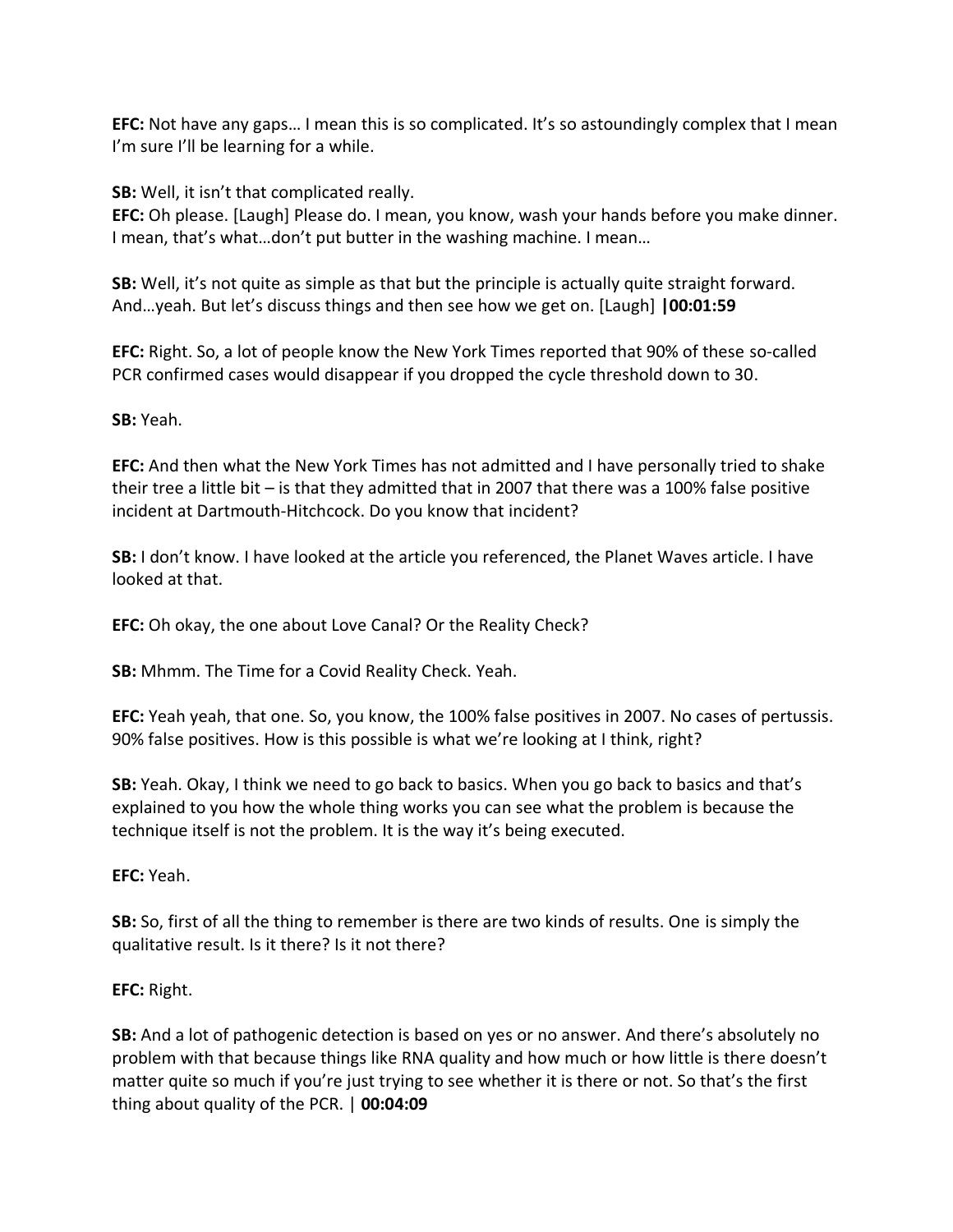**EFC:** Not have any gaps… I mean this is so complicated. It's so astoundingly complex that I mean I'm sure I'll be learning for a while.

**SB:** Well, it isn't that complicated really.

**EFC:** Oh please. [Laugh] Please do. I mean, you know, wash your hands before you make dinner. I mean, that's what…don't put butter in the washing machine. I mean…

**SB:** Well, it's not quite as simple as that but the principle is actually quite straight forward. And…yeah. But let's discuss things and then see how we get on. [Laugh] **|00:01:59**

**EFC:** Right. So, a lot of people know the New York Times reported that 90% of these so-called PCR confirmed cases would disappear if you dropped the cycle threshold down to 30.

**SB:** Yeah.

**EFC:** And then what the New York Times has not admitted and I have personally tried to shake their tree a little bit – is that they admitted that in 2007 that there was a 100% false positive incident at Dartmouth-Hitchcock. Do you know that incident?

**SB:** I don't know. I have looked at the article you referenced, the Planet Waves article. I have looked at that.

**EFC:** Oh okay, the one about Love Canal? Or the Reality Check?

**SB:** Mhmm. The Time for a Covid Reality Check. Yeah.

**EFC:** Yeah yeah, that one. So, you know, the 100% false positives in 2007. No cases of pertussis. 90% false positives. How is this possible is what we're looking at I think, right?

**SB:** Yeah. Okay, I think we need to go back to basics. When you go back to basics and that's explained to you how the whole thing works you can see what the problem is because the technique itself is not the problem. It is the way it's being executed.

**EFC:** Yeah.

**SB:** So, first of all the thing to remember is there are two kinds of results. One is simply the qualitative result. Is it there? Is it not there?

**EFC:** Right.

**SB:** And a lot of pathogenic detection is based on yes or no answer. And there's absolutely no problem with that because things like RNA quality and how much or how little is there doesn't matter quite so much if you're just trying to see whether it is there or not. So that's the first thing about quality of the PCR. | **00:04:09**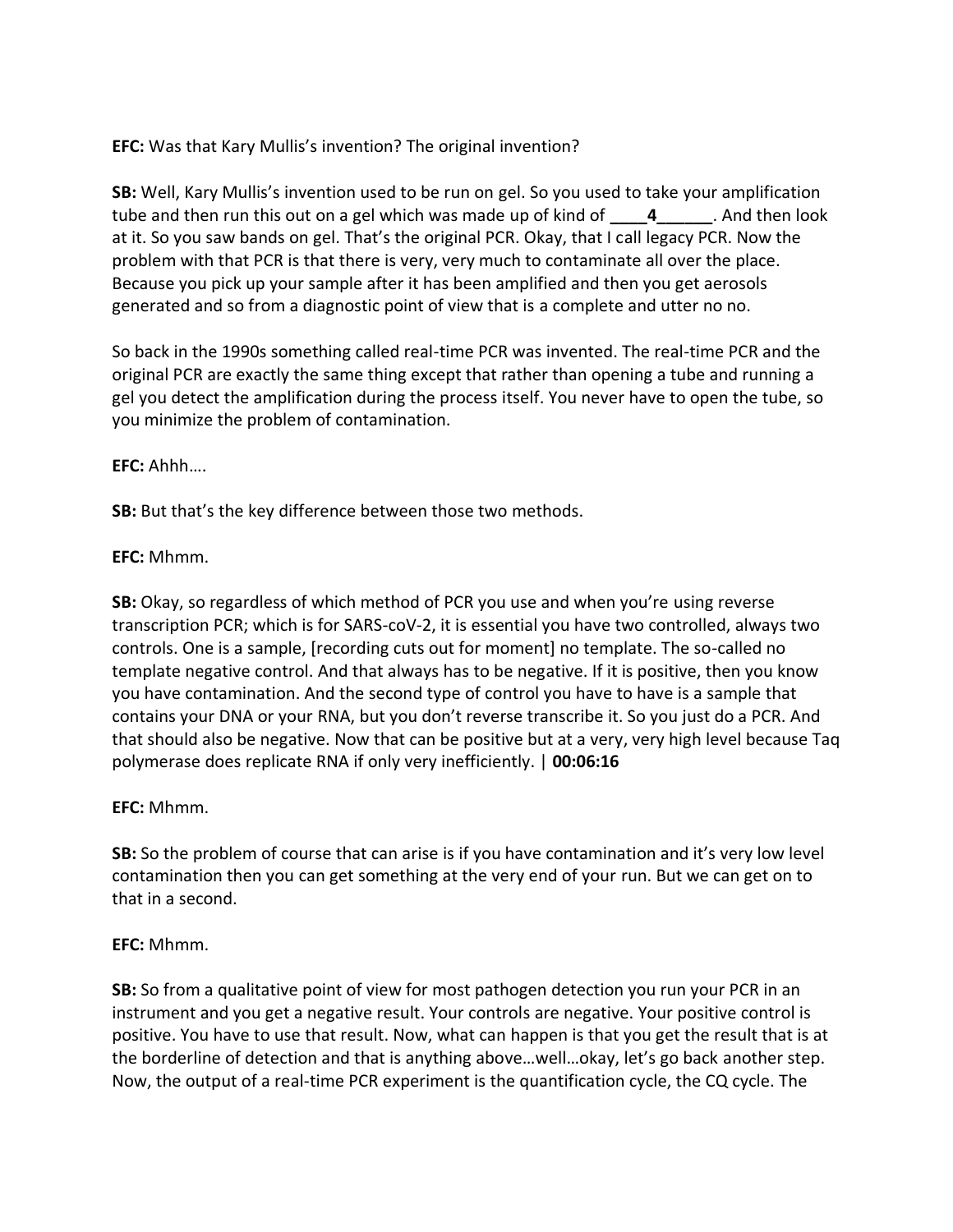**EFC:** Was that Kary Mullis's invention? The original invention?

**SB:** Well, Kary Mullis's invention used to be run on gel. So you used to take your amplification tube and then run this out on a gel which was made up of kind of **4** And then look at it. So you saw bands on gel. That's the original PCR. Okay, that I call legacy PCR. Now the problem with that PCR is that there is very, very much to contaminate all over the place. Because you pick up your sample after it has been amplified and then you get aerosols generated and so from a diagnostic point of view that is a complete and utter no no.

So back in the 1990s something called real-time PCR was invented. The real-time PCR and the original PCR are exactly the same thing except that rather than opening a tube and running a gel you detect the amplification during the process itself. You never have to open the tube, so you minimize the problem of contamination.

## **EFC:** Ahhh….

**SB:** But that's the key difference between those two methods.

## **EFC:** Mhmm.

**SB:** Okay, so regardless of which method of PCR you use and when you're using reverse transcription PCR; which is for SARS-coV-2, it is essential you have two controlled, always two controls. One is a sample, [recording cuts out for moment] no template. The so-called no template negative control. And that always has to be negative. If it is positive, then you know you have contamination. And the second type of control you have to have is a sample that contains your DNA or your RNA, but you don't reverse transcribe it. So you just do a PCR. And that should also be negative. Now that can be positive but at a very, very high level because Taq polymerase does replicate RNA if only very inefficiently. | **00:06:16**

## **EFC:** Mhmm.

**SB:** So the problem of course that can arise is if you have contamination and it's very low level contamination then you can get something at the very end of your run. But we can get on to that in a second.

## **EFC:** Mhmm.

**SB:** So from a qualitative point of view for most pathogen detection you run your PCR in an instrument and you get a negative result. Your controls are negative. Your positive control is positive. You have to use that result. Now, what can happen is that you get the result that is at the borderline of detection and that is anything above…well…okay, let's go back another step. Now, the output of a real-time PCR experiment is the quantification cycle, the CQ cycle. The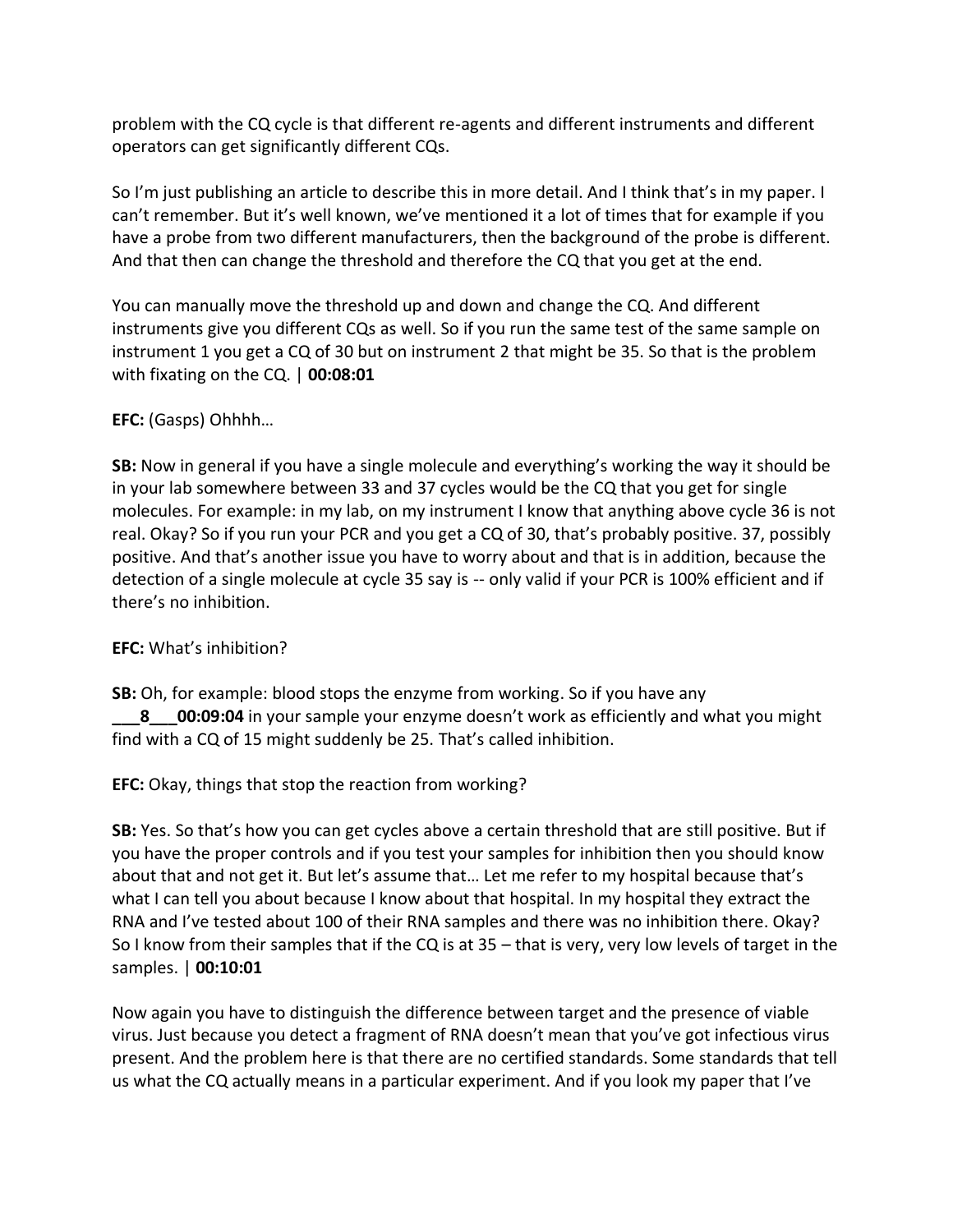problem with the CQ cycle is that different re-agents and different instruments and different operators can get significantly different CQs.

So I'm just publishing an article to describe this in more detail. And I think that's in my paper. I can't remember. But it's well known, we've mentioned it a lot of times that for example if you have a probe from two different manufacturers, then the background of the probe is different. And that then can change the threshold and therefore the CQ that you get at the end.

You can manually move the threshold up and down and change the CQ. And different instruments give you different CQs as well. So if you run the same test of the same sample on instrument 1 you get a CQ of 30 but on instrument 2 that might be 35. So that is the problem with fixating on the CQ. | **00:08:01**

## **EFC:** (Gasps) Ohhhh…

**SB:** Now in general if you have a single molecule and everything's working the way it should be in your lab somewhere between 33 and 37 cycles would be the CQ that you get for single molecules. For example: in my lab, on my instrument I know that anything above cycle 36 is not real. Okay? So if you run your PCR and you get a CQ of 30, that's probably positive. 37, possibly positive. And that's another issue you have to worry about and that is in addition, because the detection of a single molecule at cycle 35 say is -- only valid if your PCR is 100% efficient and if there's no inhibition.

## **EFC:** What's inhibition?

**SB:** Oh, for example: blood stops the enzyme from working. So if you have any **8 00:09:04** in your sample your enzyme doesn't work as efficiently and what you might find with a CQ of 15 might suddenly be 25. That's called inhibition.

## **EFC:** Okay, things that stop the reaction from working?

**SB:** Yes. So that's how you can get cycles above a certain threshold that are still positive. But if you have the proper controls and if you test your samples for inhibition then you should know about that and not get it. But let's assume that… Let me refer to my hospital because that's what I can tell you about because I know about that hospital. In my hospital they extract the RNA and I've tested about 100 of their RNA samples and there was no inhibition there. Okay? So I know from their samples that if the CQ is at 35 – that is very, very low levels of target in the samples. | **00:10:01**

Now again you have to distinguish the difference between target and the presence of viable virus. Just because you detect a fragment of RNA doesn't mean that you've got infectious virus present. And the problem here is that there are no certified standards. Some standards that tell us what the CQ actually means in a particular experiment. And if you look my paper that I've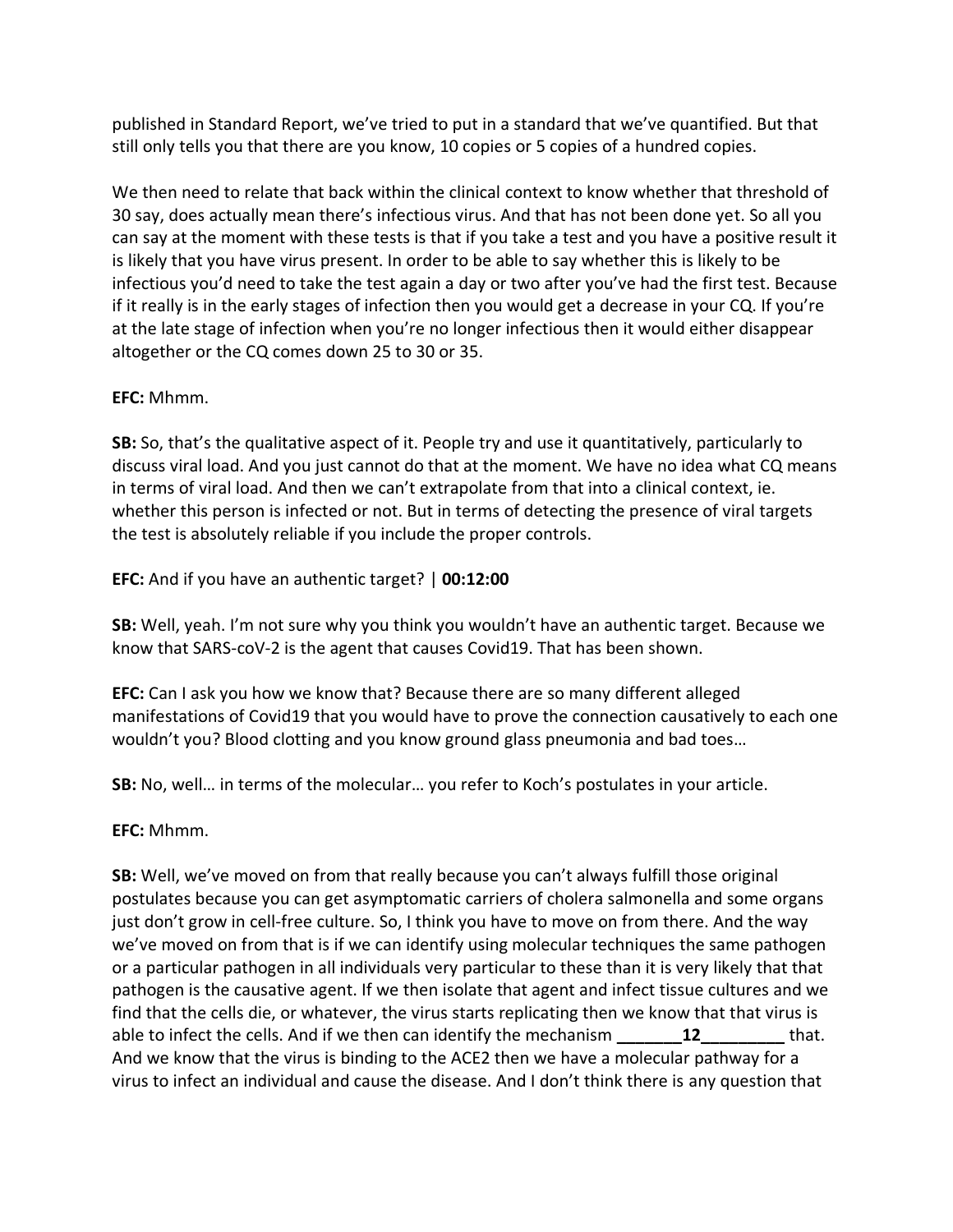published in Standard Report, we've tried to put in a standard that we've quantified. But that still only tells you that there are you know, 10 copies or 5 copies of a hundred copies.

We then need to relate that back within the clinical context to know whether that threshold of 30 say, does actually mean there's infectious virus. And that has not been done yet. So all you can say at the moment with these tests is that if you take a test and you have a positive result it is likely that you have virus present. In order to be able to say whether this is likely to be infectious you'd need to take the test again a day or two after you've had the first test. Because if it really is in the early stages of infection then you would get a decrease in your CQ. If you're at the late stage of infection when you're no longer infectious then it would either disappear altogether or the CQ comes down 25 to 30 or 35.

## **EFC:** Mhmm.

**SB:** So, that's the qualitative aspect of it. People try and use it quantitatively, particularly to discuss viral load. And you just cannot do that at the moment. We have no idea what CQ means in terms of viral load. And then we can't extrapolate from that into a clinical context, ie. whether this person is infected or not. But in terms of detecting the presence of viral targets the test is absolutely reliable if you include the proper controls.

**EFC:** And if you have an authentic target? | **00:12:00**

**SB:** Well, yeah. I'm not sure why you think you wouldn't have an authentic target. Because we know that SARS-coV-2 is the agent that causes Covid19. That has been shown.

**EFC:** Can I ask you how we know that? Because there are so many different alleged manifestations of Covid19 that you would have to prove the connection causatively to each one wouldn't you? Blood clotting and you know ground glass pneumonia and bad toes…

**SB:** No, well… in terms of the molecular… you refer to Koch's postulates in your article.

**EFC:** Mhmm.

**SB:** Well, we've moved on from that really because you can't always fulfill those original postulates because you can get asymptomatic carriers of cholera salmonella and some organs just don't grow in cell-free culture. So, I think you have to move on from there. And the way we've moved on from that is if we can identify using molecular techniques the same pathogen or a particular pathogen in all individuals very particular to these than it is very likely that that pathogen is the causative agent. If we then isolate that agent and infect tissue cultures and we find that the cells die, or whatever, the virus starts replicating then we know that that virus is able to infect the cells. And if we then can identify the mechanism **12** that. And we know that the virus is binding to the ACE2 then we have a molecular pathway for a virus to infect an individual and cause the disease. And I don't think there is any question that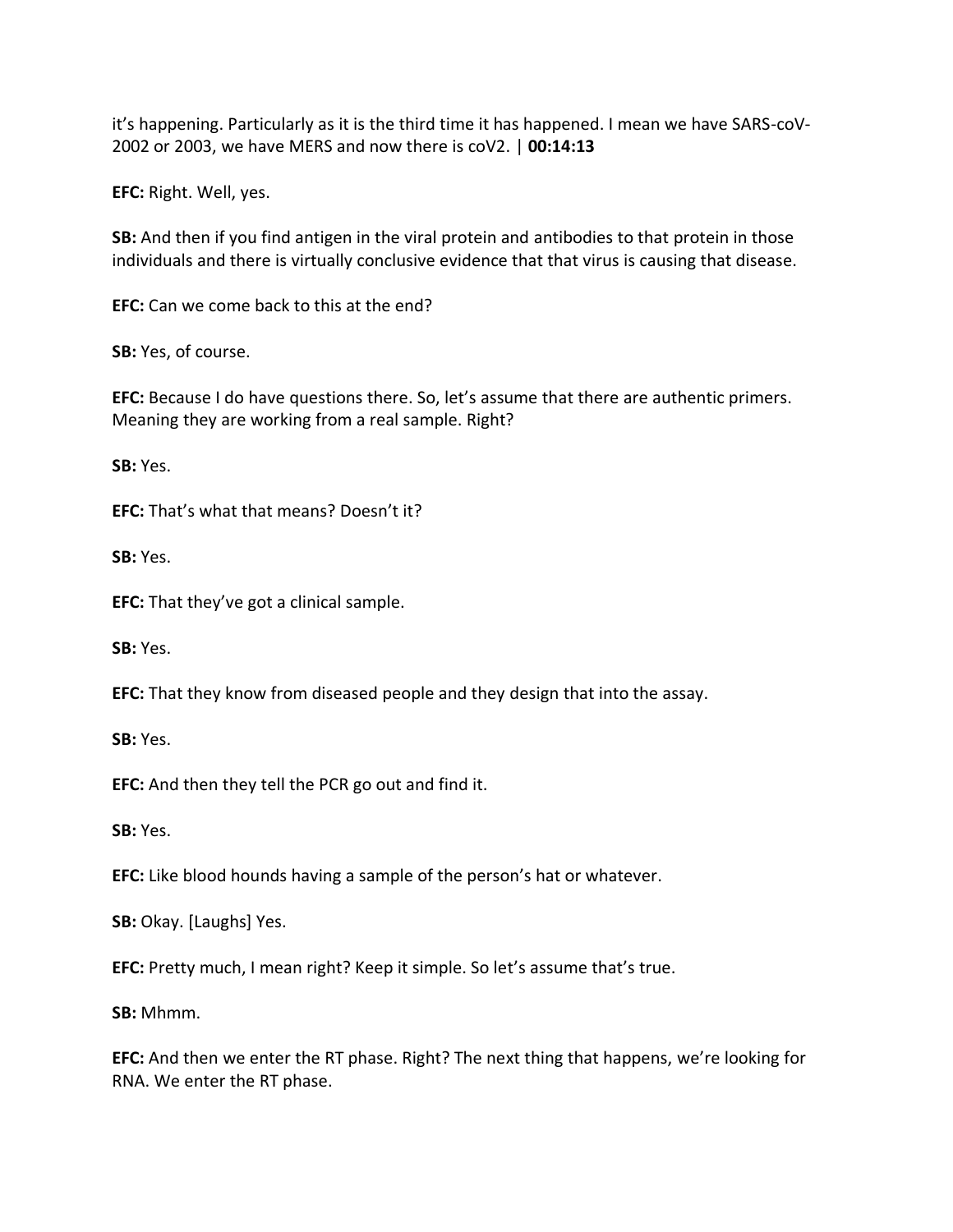it's happening. Particularly as it is the third time it has happened. I mean we have SARS-coV-2002 or 2003, we have MERS and now there is coV2. | **00:14:13**

**EFC:** Right. Well, yes.

**SB:** And then if you find antigen in the viral protein and antibodies to that protein in those individuals and there is virtually conclusive evidence that that virus is causing that disease.

**EFC:** Can we come back to this at the end?

**SB:** Yes, of course.

**EFC:** Because I do have questions there. So, let's assume that there are authentic primers. Meaning they are working from a real sample. Right?

**SB:** Yes.

**EFC:** That's what that means? Doesn't it?

**SB:** Yes.

**EFC:** That they've got a clinical sample.

**SB:** Yes.

**EFC:** That they know from diseased people and they design that into the assay.

**SB:** Yes.

**EFC:** And then they tell the PCR go out and find it.

**SB:** Yes.

**EFC:** Like blood hounds having a sample of the person's hat or whatever.

**SB:** Okay. [Laughs] Yes.

**EFC:** Pretty much, I mean right? Keep it simple. So let's assume that's true.

**SB:** Mhmm.

**EFC:** And then we enter the RT phase. Right? The next thing that happens, we're looking for RNA. We enter the RT phase.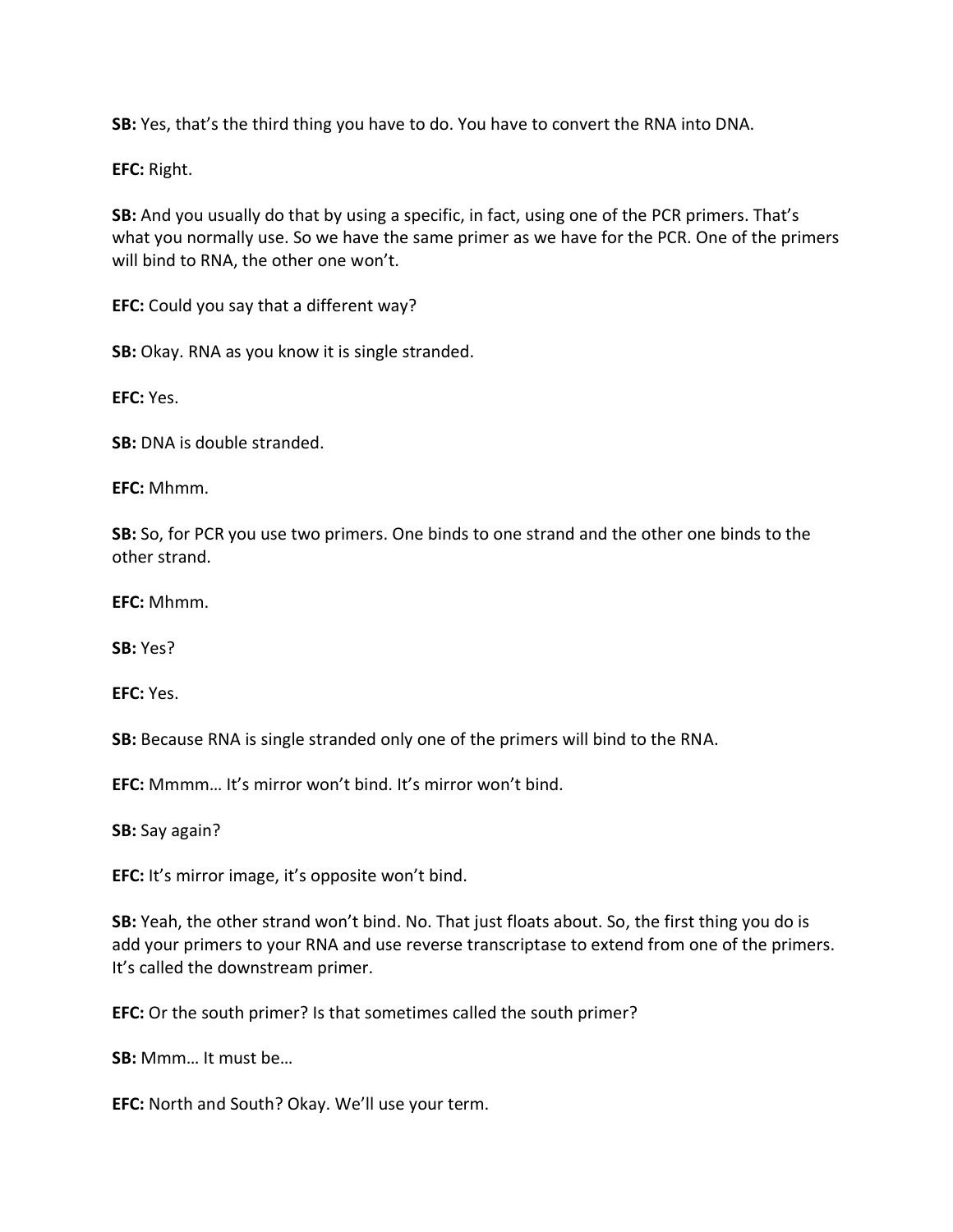**SB:** Yes, that's the third thing you have to do. You have to convert the RNA into DNA.

**EFC:** Right.

**SB:** And you usually do that by using a specific, in fact, using one of the PCR primers. That's what you normally use. So we have the same primer as we have for the PCR. One of the primers will bind to RNA, the other one won't.

**EFC:** Could you say that a different way?

**SB:** Okay. RNA as you know it is single stranded.

**EFC:** Yes.

**SB:** DNA is double stranded.

**EFC:** Mhmm.

**SB:** So, for PCR you use two primers. One binds to one strand and the other one binds to the other strand.

**EFC:** Mhmm.

**SB:** Yes?

**EFC:** Yes.

**SB:** Because RNA is single stranded only one of the primers will bind to the RNA.

**EFC:** Mmmm… It's mirror won't bind. It's mirror won't bind.

**SB:** Say again?

**EFC:** It's mirror image, it's opposite won't bind.

**SB:** Yeah, the other strand won't bind. No. That just floats about. So, the first thing you do is add your primers to your RNA and use reverse transcriptase to extend from one of the primers. It's called the downstream primer.

**EFC:** Or the south primer? Is that sometimes called the south primer?

**SB:** Mmm… It must be…

**EFC:** North and South? Okay. We'll use your term.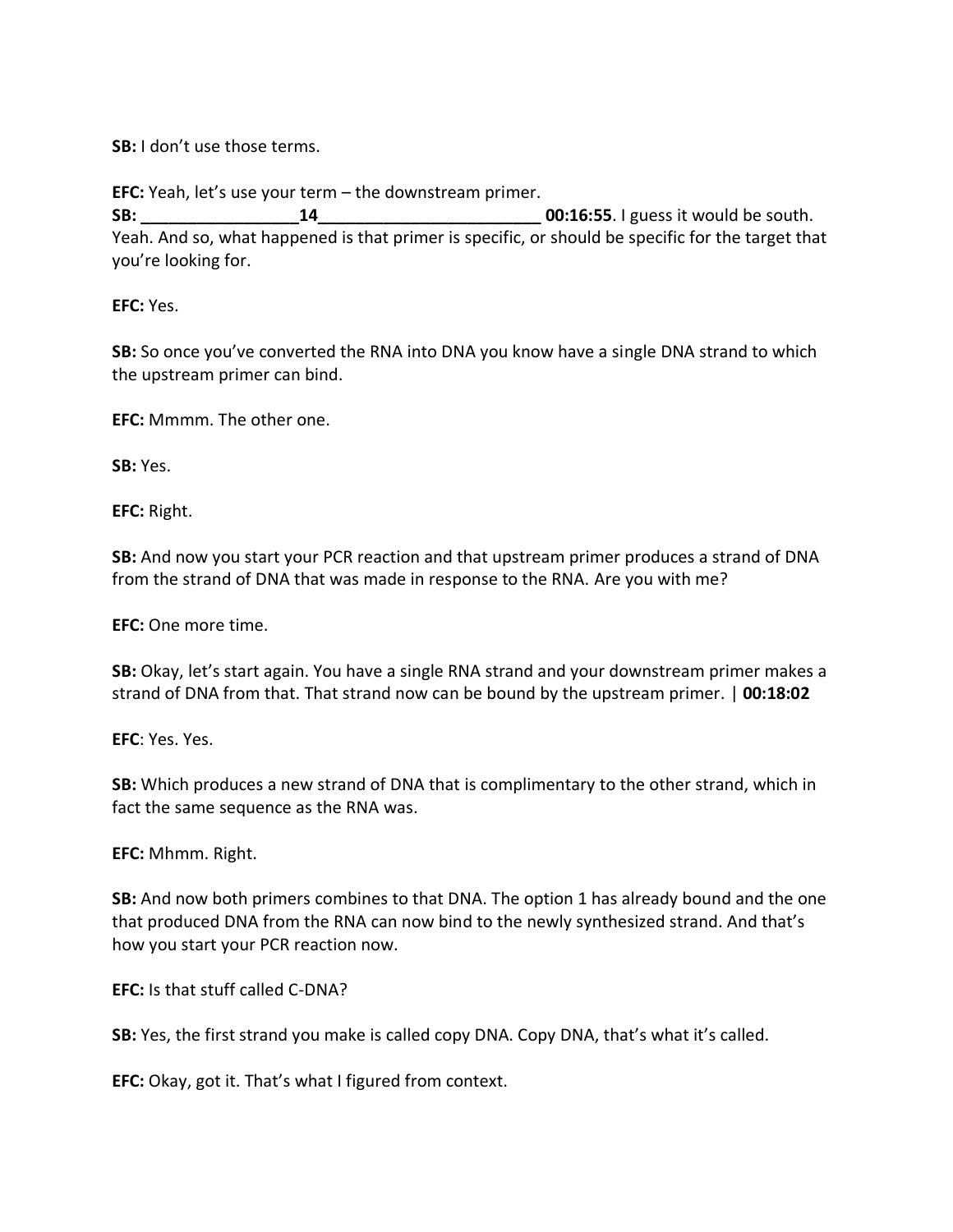**SB:** I don't use those terms.

**EFC:** Yeah, let's use your term – the downstream primer.

**SB: 14 14 15 16:55.** I guess it would be south. Yeah. And so, what happened is that primer is specific, or should be specific for the target that you're looking for.

**EFC:** Yes.

**SB:** So once you've converted the RNA into DNA you know have a single DNA strand to which the upstream primer can bind.

**EFC:** Mmmm. The other one.

**SB:** Yes.

**EFC:** Right.

**SB:** And now you start your PCR reaction and that upstream primer produces a strand of DNA from the strand of DNA that was made in response to the RNA. Are you with me?

**EFC:** One more time.

**SB:** Okay, let's start again. You have a single RNA strand and your downstream primer makes a strand of DNA from that. That strand now can be bound by the upstream primer. | **00:18:02**

**EFC**: Yes. Yes.

**SB:** Which produces a new strand of DNA that is complimentary to the other strand, which in fact the same sequence as the RNA was.

**EFC:** Mhmm. Right.

**SB:** And now both primers combines to that DNA. The option 1 has already bound and the one that produced DNA from the RNA can now bind to the newly synthesized strand. And that's how you start your PCR reaction now.

**EFC:** Is that stuff called C-DNA?

**SB:** Yes, the first strand you make is called copy DNA. Copy DNA, that's what it's called.

**EFC:** Okay, got it. That's what I figured from context.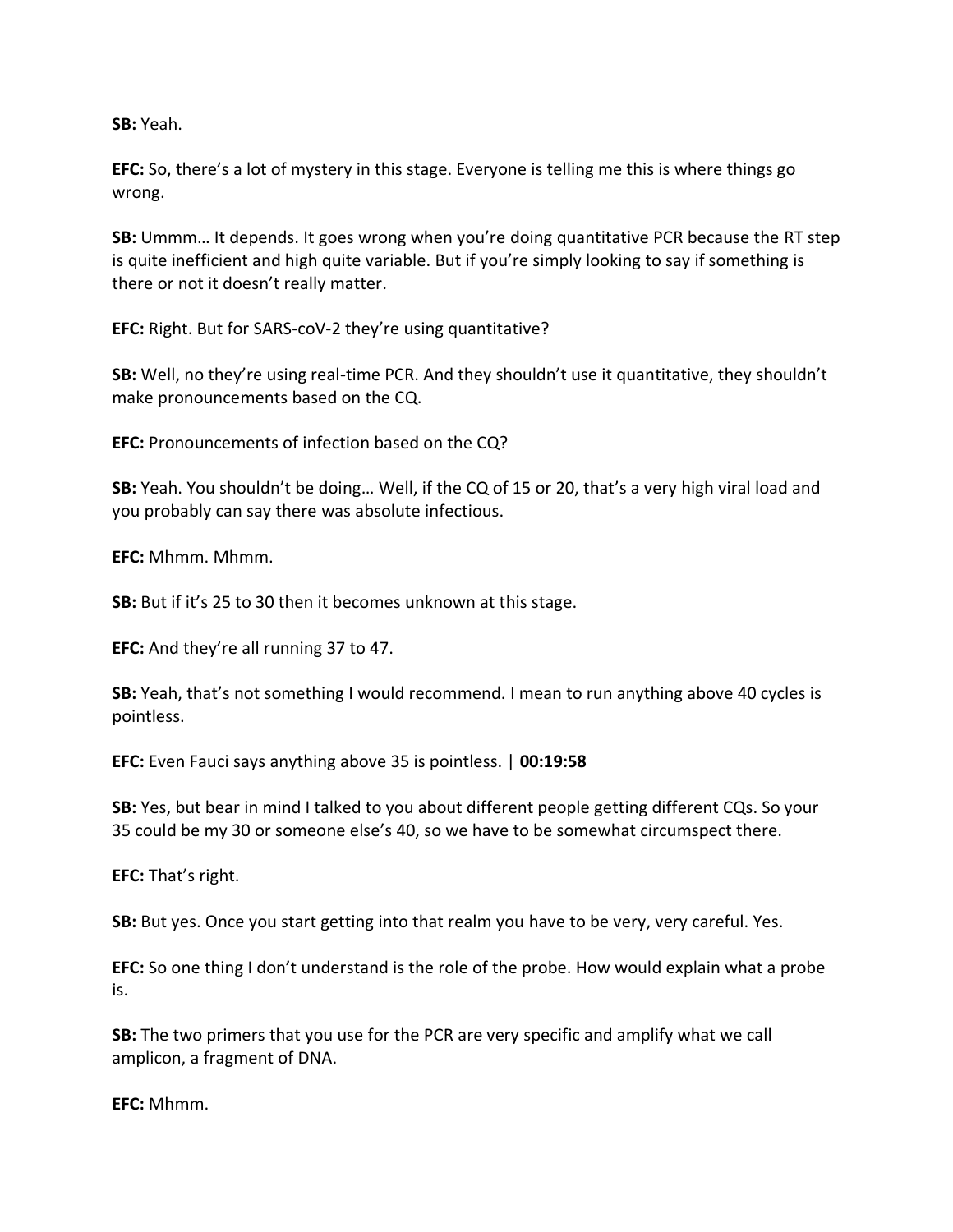**SB:** Yeah.

**EFC:** So, there's a lot of mystery in this stage. Everyone is telling me this is where things go wrong.

**SB:** Ummm… It depends. It goes wrong when you're doing quantitative PCR because the RT step is quite inefficient and high quite variable. But if you're simply looking to say if something is there or not it doesn't really matter.

**EFC:** Right. But for SARS-coV-2 they're using quantitative?

**SB:** Well, no they're using real-time PCR. And they shouldn't use it quantitative, they shouldn't make pronouncements based on the CQ.

**EFC:** Pronouncements of infection based on the CQ?

**SB:** Yeah. You shouldn't be doing… Well, if the CQ of 15 or 20, that's a very high viral load and you probably can say there was absolute infectious.

**EFC:** Mhmm. Mhmm.

**SB:** But if it's 25 to 30 then it becomes unknown at this stage.

**EFC:** And they're all running 37 to 47.

**SB:** Yeah, that's not something I would recommend. I mean to run anything above 40 cycles is pointless.

**EFC:** Even Fauci says anything above 35 is pointless. | **00:19:58**

**SB:** Yes, but bear in mind I talked to you about different people getting different CQs. So your 35 could be my 30 or someone else's 40, so we have to be somewhat circumspect there.

**EFC:** That's right.

**SB:** But yes. Once you start getting into that realm you have to be very, very careful. Yes.

**EFC:** So one thing I don't understand is the role of the probe. How would explain what a probe is.

**SB:** The two primers that you use for the PCR are very specific and amplify what we call amplicon, a fragment of DNA.

**EFC:** Mhmm.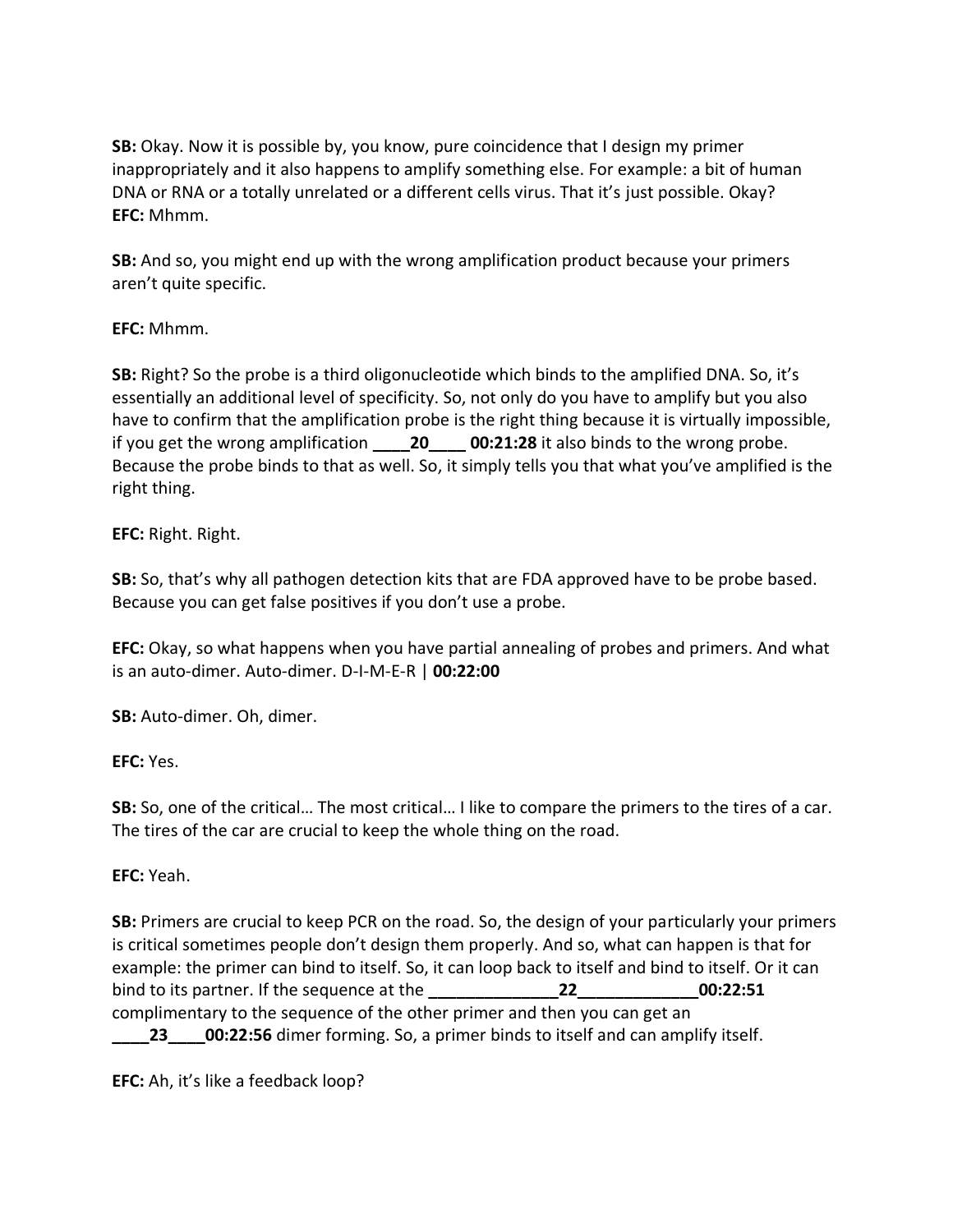**SB:** Okay. Now it is possible by, you know, pure coincidence that I design my primer inappropriately and it also happens to amplify something else. For example: a bit of human DNA or RNA or a totally unrelated or a different cells virus. That it's just possible. Okay? **EFC:** Mhmm.

**SB:** And so, you might end up with the wrong amplification product because your primers aren't quite specific.

## **EFC:** Mhmm.

**SB:** Right? So the probe is a third oligonucleotide which binds to the amplified DNA. So, it's essentially an additional level of specificity. So, not only do you have to amplify but you also have to confirm that the amplification probe is the right thing because it is virtually impossible, if you get the wrong amplification **\_\_\_\_20\_\_\_\_ 00:21:28** it also binds to the wrong probe. Because the probe binds to that as well. So, it simply tells you that what you've amplified is the right thing.

## **EFC:** Right. Right.

**SB:** So, that's why all pathogen detection kits that are FDA approved have to be probe based. Because you can get false positives if you don't use a probe.

**EFC:** Okay, so what happens when you have partial annealing of probes and primers. And what is an auto-dimer. Auto-dimer. D-I-M-E-R | **00:22:00**

**SB:** Auto-dimer. Oh, dimer.

# **EFC:** Yes.

**SB:** So, one of the critical… The most critical… I like to compare the primers to the tires of a car. The tires of the car are crucial to keep the whole thing on the road.

# **EFC:** Yeah.

**SB:** Primers are crucial to keep PCR on the road. So, the design of your particularly your primers is critical sometimes people don't design them properly. And so, what can happen is that for example: the primer can bind to itself. So, it can loop back to itself and bind to itself. Or it can bind to its partner. If the sequence at the **\_\_\_\_\_\_\_\_\_\_\_\_\_\_22\_\_\_\_\_\_\_\_\_\_\_\_\_00:22:51** complimentary to the sequence of the other primer and then you can get an **23 00:22:56** dimer forming. So, a primer binds to itself and can amplify itself.

**EFC:** Ah, it's like a feedback loop?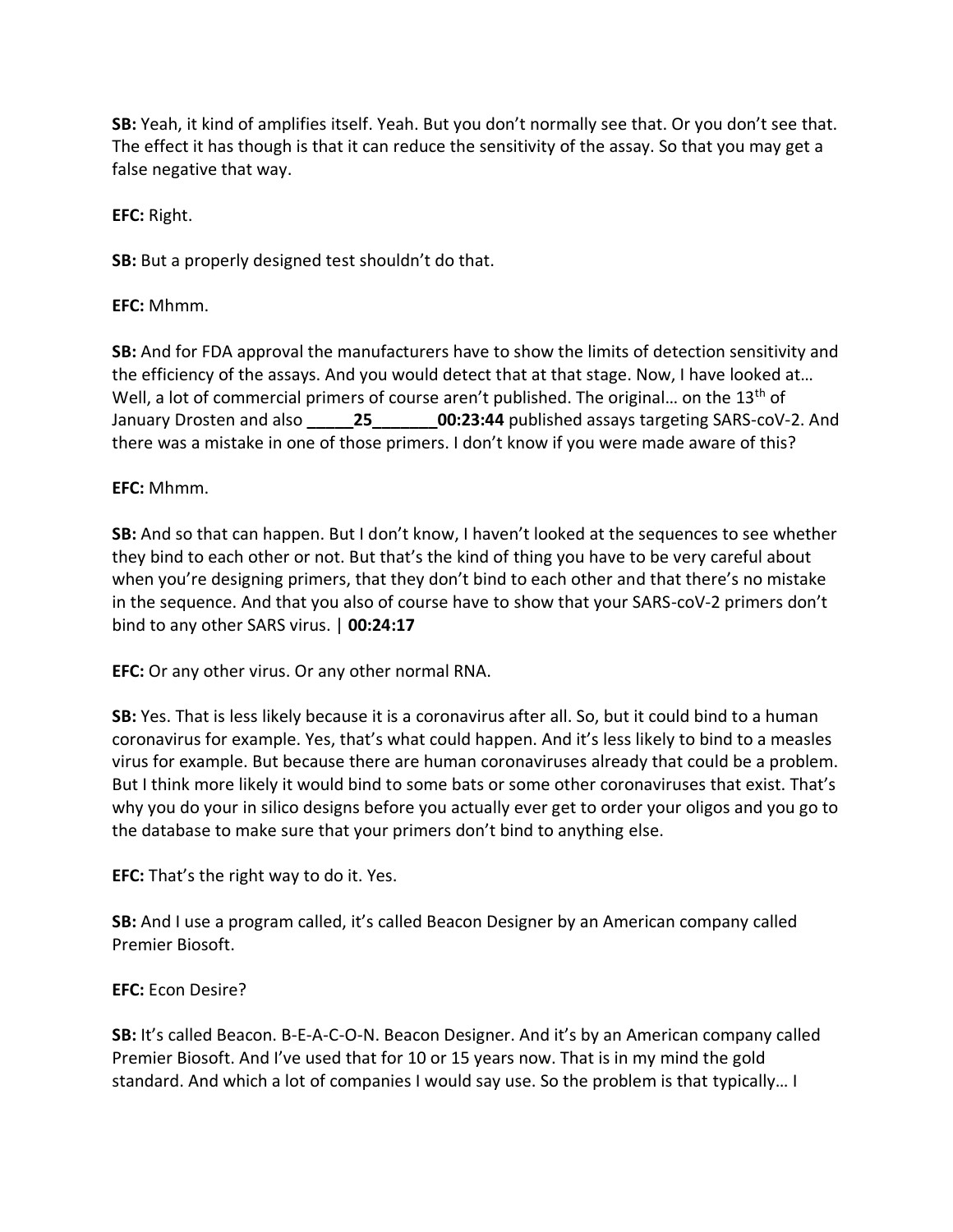**SB:** Yeah, it kind of amplifies itself. Yeah. But you don't normally see that. Or you don't see that. The effect it has though is that it can reduce the sensitivity of the assay. So that you may get a false negative that way.

**EFC:** Right.

**SB:** But a properly designed test shouldn't do that.

**EFC:** Mhmm.

**SB:** And for FDA approval the manufacturers have to show the limits of detection sensitivity and the efficiency of the assays. And you would detect that at that stage. Now, I have looked at… Well, a lot of commercial primers of course aren't published. The original... on the 13<sup>th</sup> of January Drosten and also **\_\_\_\_\_25\_\_\_\_\_\_\_00:23:44** published assays targeting SARS-coV-2. And there was a mistake in one of those primers. I don't know if you were made aware of this?

## **EFC:** Mhmm.

**SB:** And so that can happen. But I don't know, I haven't looked at the sequences to see whether they bind to each other or not. But that's the kind of thing you have to be very careful about when you're designing primers, that they don't bind to each other and that there's no mistake in the sequence. And that you also of course have to show that your SARS-coV-2 primers don't bind to any other SARS virus. | **00:24:17**

**EFC:** Or any other virus. Or any other normal RNA.

**SB:** Yes. That is less likely because it is a coronavirus after all. So, but it could bind to a human coronavirus for example. Yes, that's what could happen. And it's less likely to bind to a measles virus for example. But because there are human coronaviruses already that could be a problem. But I think more likely it would bind to some bats or some other coronaviruses that exist. That's why you do your in silico designs before you actually ever get to order your oligos and you go to the database to make sure that your primers don't bind to anything else.

**EFC:** That's the right way to do it. Yes.

**SB:** And I use a program called, it's called Beacon Designer by an American company called Premier Biosoft.

## **EFC:** Econ Desire?

**SB:** It's called Beacon. B-E-A-C-O-N. Beacon Designer. And it's by an American company called Premier Biosoft. And I've used that for 10 or 15 years now. That is in my mind the gold standard. And which a lot of companies I would say use. So the problem is that typically… I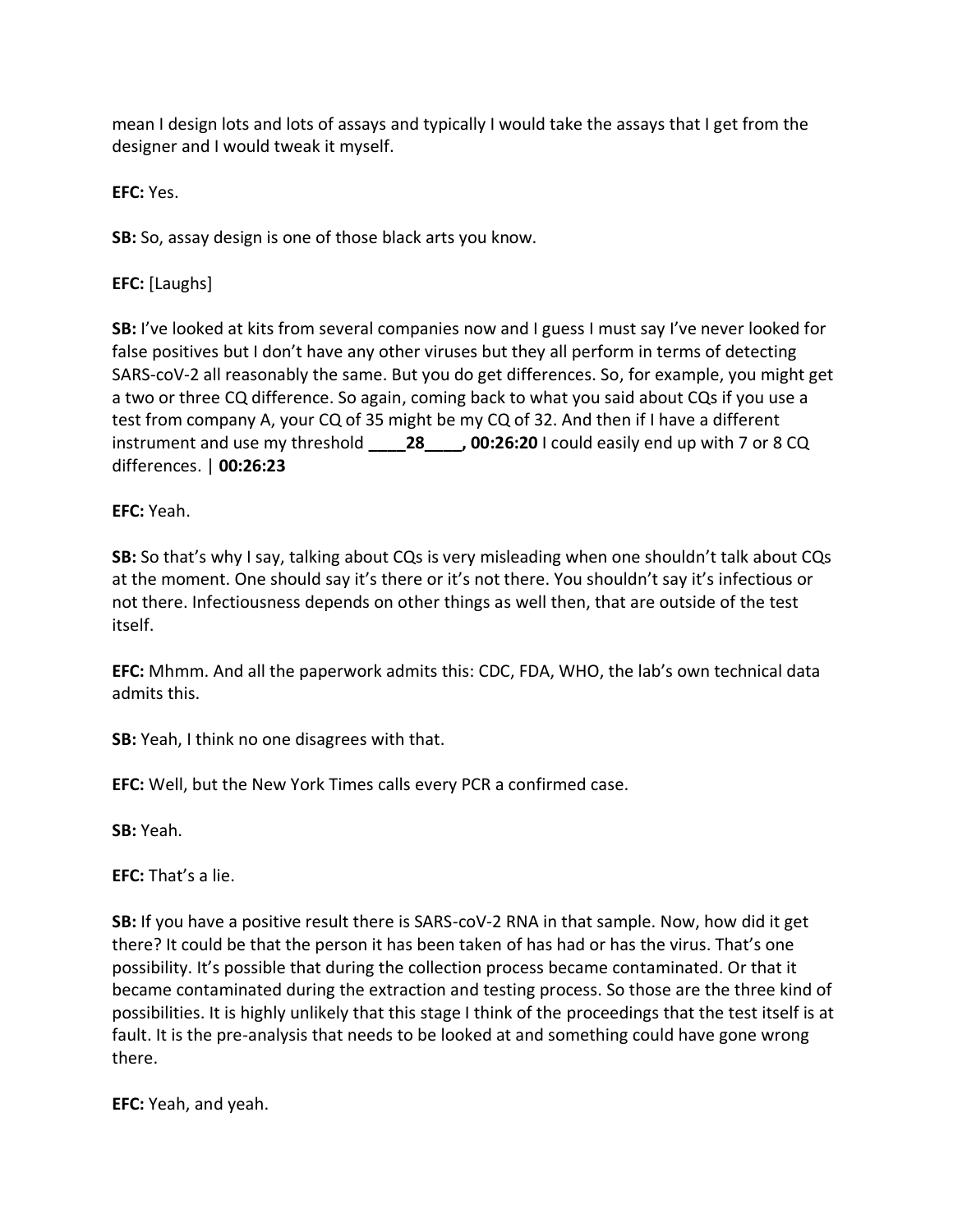mean I design lots and lots of assays and typically I would take the assays that I get from the designer and I would tweak it myself.

**EFC:** Yes.

**SB:** So, assay design is one of those black arts you know.

**EFC:** [Laughs]

**SB:** I've looked at kits from several companies now and I guess I must say I've never looked for false positives but I don't have any other viruses but they all perform in terms of detecting SARS-coV-2 all reasonably the same. But you do get differences. So, for example, you might get a two or three CQ difference. So again, coming back to what you said about CQs if you use a test from company A, your CQ of 35 might be my CQ of 32. And then if I have a different instrument and use my threshold **\_\_\_\_28\_\_\_\_, 00:26:20** I could easily end up with 7 or 8 CQ differences. | **00:26:23**

**EFC:** Yeah.

**SB:** So that's why I say, talking about CQs is very misleading when one shouldn't talk about CQs at the moment. One should say it's there or it's not there. You shouldn't say it's infectious or not there. Infectiousness depends on other things as well then, that are outside of the test itself.

**EFC:** Mhmm. And all the paperwork admits this: CDC, FDA, WHO, the lab's own technical data admits this.

**SB:** Yeah, I think no one disagrees with that.

**EFC:** Well, but the New York Times calls every PCR a confirmed case.

**SB:** Yeah.

**EFC:** That's a lie.

**SB:** If you have a positive result there is SARS-coV-2 RNA in that sample. Now, how did it get there? It could be that the person it has been taken of has had or has the virus. That's one possibility. It's possible that during the collection process became contaminated. Or that it became contaminated during the extraction and testing process. So those are the three kind of possibilities. It is highly unlikely that this stage I think of the proceedings that the test itself is at fault. It is the pre-analysis that needs to be looked at and something could have gone wrong there.

**EFC:** Yeah, and yeah.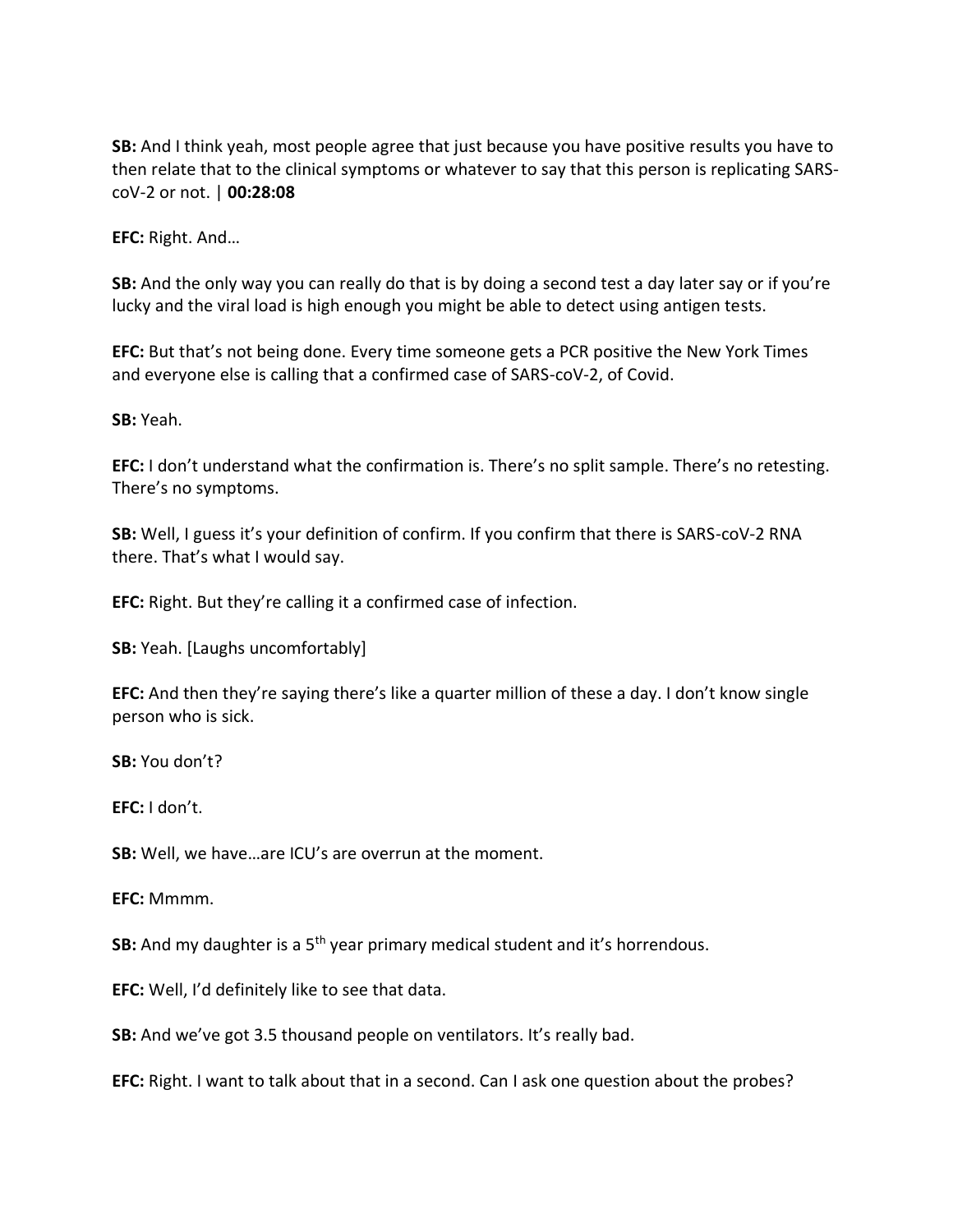**SB:** And I think yeah, most people agree that just because you have positive results you have to then relate that to the clinical symptoms or whatever to say that this person is replicating SARScoV-2 or not. | **00:28:08**

**EFC:** Right. And…

**SB:** And the only way you can really do that is by doing a second test a day later say or if you're lucky and the viral load is high enough you might be able to detect using antigen tests.

**EFC:** But that's not being done. Every time someone gets a PCR positive the New York Times and everyone else is calling that a confirmed case of SARS-coV-2, of Covid.

**SB:** Yeah.

**EFC:** I don't understand what the confirmation is. There's no split sample. There's no retesting. There's no symptoms.

**SB:** Well, I guess it's your definition of confirm. If you confirm that there is SARS-coV-2 RNA there. That's what I would say.

**EFC:** Right. But they're calling it a confirmed case of infection.

**SB:** Yeah. [Laughs uncomfortably]

**EFC:** And then they're saying there's like a quarter million of these a day. I don't know single person who is sick.

**SB:** You don't?

**EFC:** I don't.

**SB:** Well, we have…are ICU's are overrun at the moment.

**EFC:** Mmmm.

**SB:** And my daughter is a 5<sup>th</sup> year primary medical student and it's horrendous.

**EFC:** Well, I'd definitely like to see that data.

**SB:** And we've got 3.5 thousand people on ventilators. It's really bad.

**EFC:** Right. I want to talk about that in a second. Can I ask one question about the probes?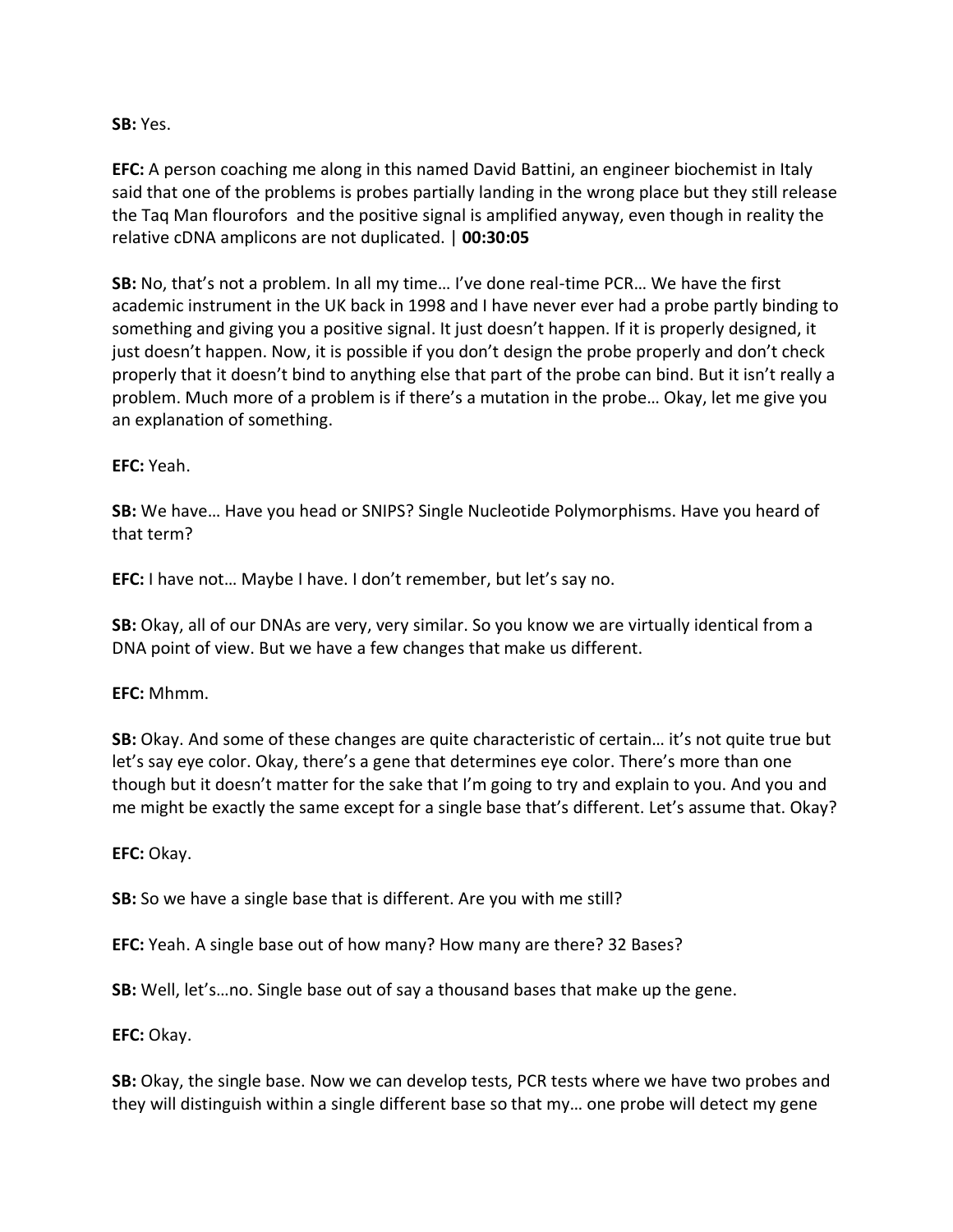#### **SB:** Yes.

**EFC:** A person coaching me along in this named David Battini, an engineer biochemist in Italy said that one of the problems is probes partially landing in the wrong place but they still release the Taq Man flourofors and the positive signal is amplified anyway, even though in reality the relative cDNA amplicons are not duplicated. | **00:30:05**

**SB:** No, that's not a problem. In all my time… I've done real-time PCR… We have the first academic instrument in the UK back in 1998 and I have never ever had a probe partly binding to something and giving you a positive signal. It just doesn't happen. If it is properly designed, it just doesn't happen. Now, it is possible if you don't design the probe properly and don't check properly that it doesn't bind to anything else that part of the probe can bind. But it isn't really a problem. Much more of a problem is if there's a mutation in the probe… Okay, let me give you an explanation of something.

## **EFC:** Yeah.

**SB:** We have… Have you head or SNIPS? Single Nucleotide Polymorphisms. Have you heard of that term?

**EFC:** I have not… Maybe I have. I don't remember, but let's say no.

**SB:** Okay, all of our DNAs are very, very similar. So you know we are virtually identical from a DNA point of view. But we have a few changes that make us different.

#### **EFC:** Mhmm.

**SB:** Okay. And some of these changes are quite characteristic of certain… it's not quite true but let's say eye color. Okay, there's a gene that determines eye color. There's more than one though but it doesn't matter for the sake that I'm going to try and explain to you. And you and me might be exactly the same except for a single base that's different. Let's assume that. Okay?

#### **EFC:** Okay.

**SB:** So we have a single base that is different. Are you with me still?

**EFC:** Yeah. A single base out of how many? How many are there? 32 Bases?

**SB:** Well, let's…no. Single base out of say a thousand bases that make up the gene.

**EFC:** Okay.

**SB:** Okay, the single base. Now we can develop tests, PCR tests where we have two probes and they will distinguish within a single different base so that my… one probe will detect my gene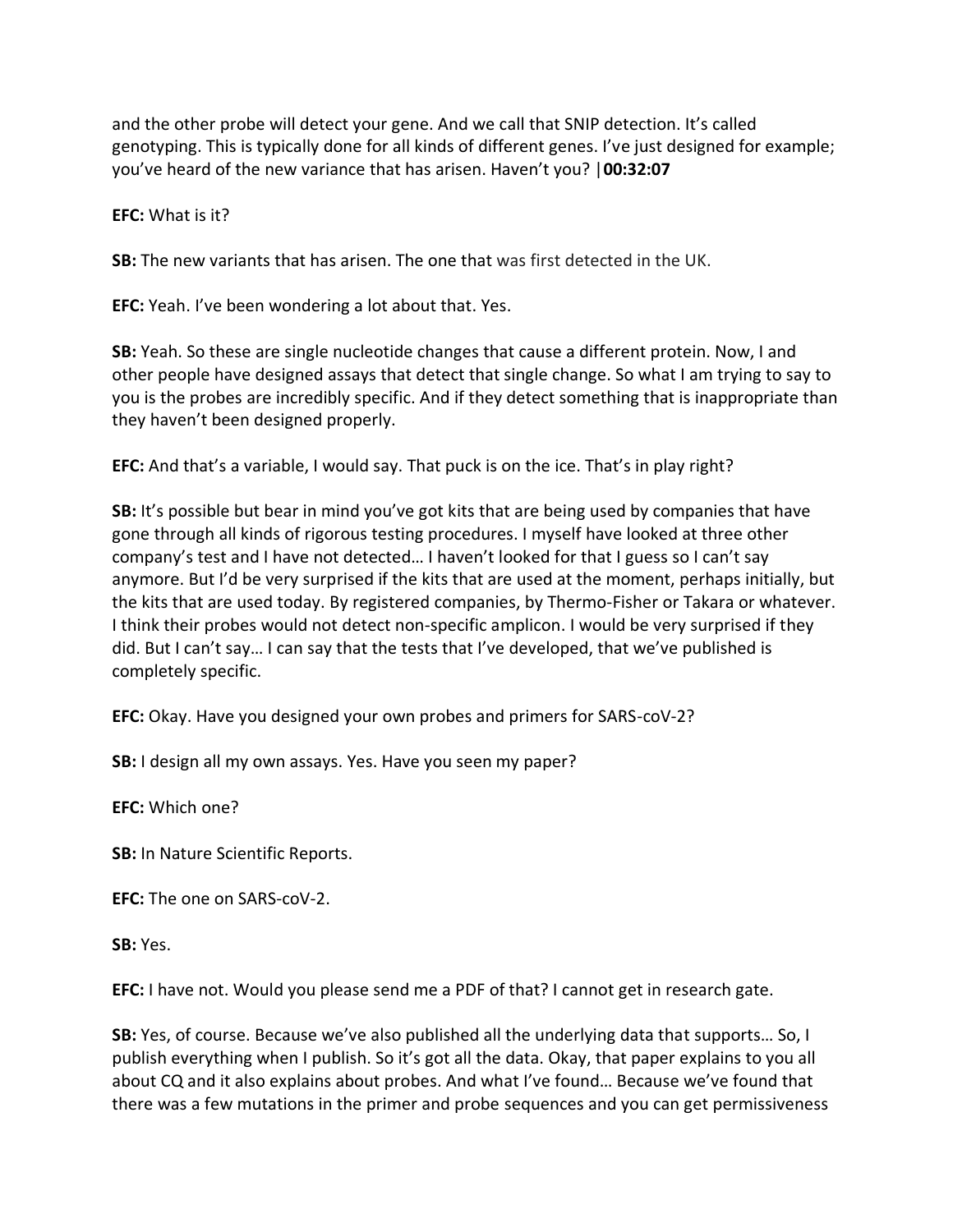and the other probe will detect your gene. And we call that SNIP detection. It's called genotyping. This is typically done for all kinds of different genes. I've just designed for example; you've heard of the new variance that has arisen. Haven't you? |**00:32:07**

**EFC:** What is it?

**SB:** The new variants that has arisen. The one that was first detected in the UK.

**EFC:** Yeah. I've been wondering a lot about that. Yes.

**SB:** Yeah. So these are single nucleotide changes that cause a different protein. Now, I and other people have designed assays that detect that single change. So what I am trying to say to you is the probes are incredibly specific. And if they detect something that is inappropriate than they haven't been designed properly.

**EFC:** And that's a variable, I would say. That puck is on the ice. That's in play right?

**SB:** It's possible but bear in mind you've got kits that are being used by companies that have gone through all kinds of rigorous testing procedures. I myself have looked at three other company's test and I have not detected… I haven't looked for that I guess so I can't say anymore. But I'd be very surprised if the kits that are used at the moment, perhaps initially, but the kits that are used today. By registered companies, by Thermo-Fisher or Takara or whatever. I think their probes would not detect non-specific amplicon. I would be very surprised if they did. But I can't say… I can say that the tests that I've developed, that we've published is completely specific.

**EFC:** Okay. Have you designed your own probes and primers for SARS-coV-2?

**SB:** I design all my own assays. Yes. Have you seen my paper?

**EFC:** Which one?

**SB:** In Nature Scientific Reports.

**EFC:** The one on SARS-coV-2.

**SB:** Yes.

**EFC:** I have not. Would you please send me a PDF of that? I cannot get in research gate.

**SB:** Yes, of course. Because we've also published all the underlying data that supports… So, I publish everything when I publish. So it's got all the data. Okay, that paper explains to you all about CQ and it also explains about probes. And what I've found… Because we've found that there was a few mutations in the primer and probe sequences and you can get permissiveness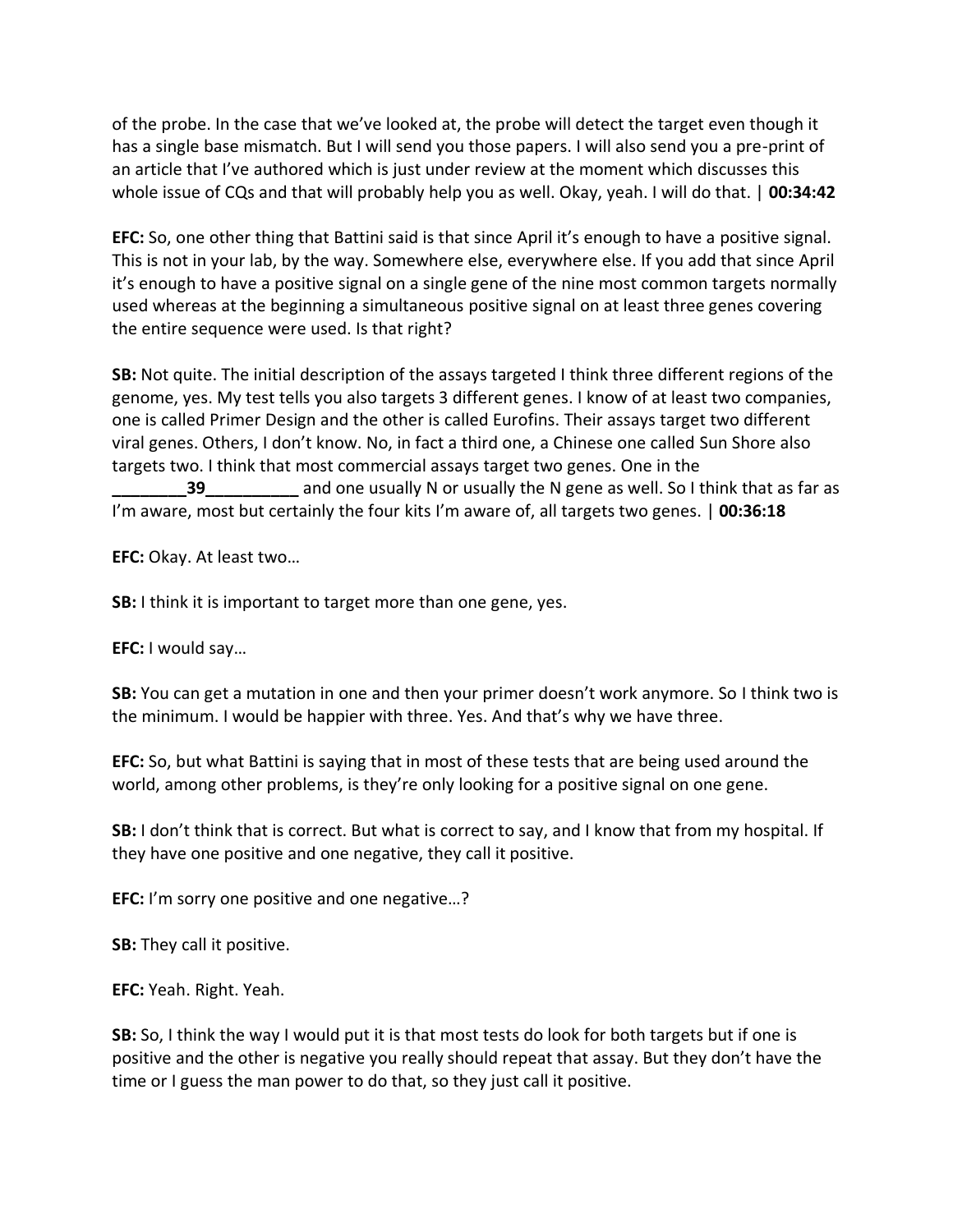of the probe. In the case that we've looked at, the probe will detect the target even though it has a single base mismatch. But I will send you those papers. I will also send you a pre-print of an article that I've authored which is just under review at the moment which discusses this whole issue of CQs and that will probably help you as well. Okay, yeah. I will do that. | **00:34:42**

**EFC:** So, one other thing that Battini said is that since April it's enough to have a positive signal. This is not in your lab, by the way. Somewhere else, everywhere else. If you add that since April it's enough to have a positive signal on a single gene of the nine most common targets normally used whereas at the beginning a simultaneous positive signal on at least three genes covering the entire sequence were used. Is that right?

**SB:** Not quite. The initial description of the assays targeted I think three different regions of the genome, yes. My test tells you also targets 3 different genes. I know of at least two companies, one is called Primer Design and the other is called Eurofins. Their assays target two different viral genes. Others, I don't know. No, in fact a third one, a Chinese one called Sun Shore also targets two. I think that most commercial assays target two genes. One in the **39** and one usually N or usually the N gene as well. So I think that as far as as

I'm aware, most but certainly the four kits I'm aware of, all targets two genes. | **00:36:18**

**EFC:** Okay. At least two…

**SB:** I think it is important to target more than one gene, yes.

**EFC:** I would say…

**SB:** You can get a mutation in one and then your primer doesn't work anymore. So I think two is the minimum. I would be happier with three. Yes. And that's why we have three.

**EFC:** So, but what Battini is saying that in most of these tests that are being used around the world, among other problems, is they're only looking for a positive signal on one gene.

**SB:** I don't think that is correct. But what is correct to say, and I know that from my hospital. If they have one positive and one negative, they call it positive.

**EFC:** I'm sorry one positive and one negative…?

**SB:** They call it positive.

**EFC:** Yeah. Right. Yeah.

**SB:** So, I think the way I would put it is that most tests do look for both targets but if one is positive and the other is negative you really should repeat that assay. But they don't have the time or I guess the man power to do that, so they just call it positive.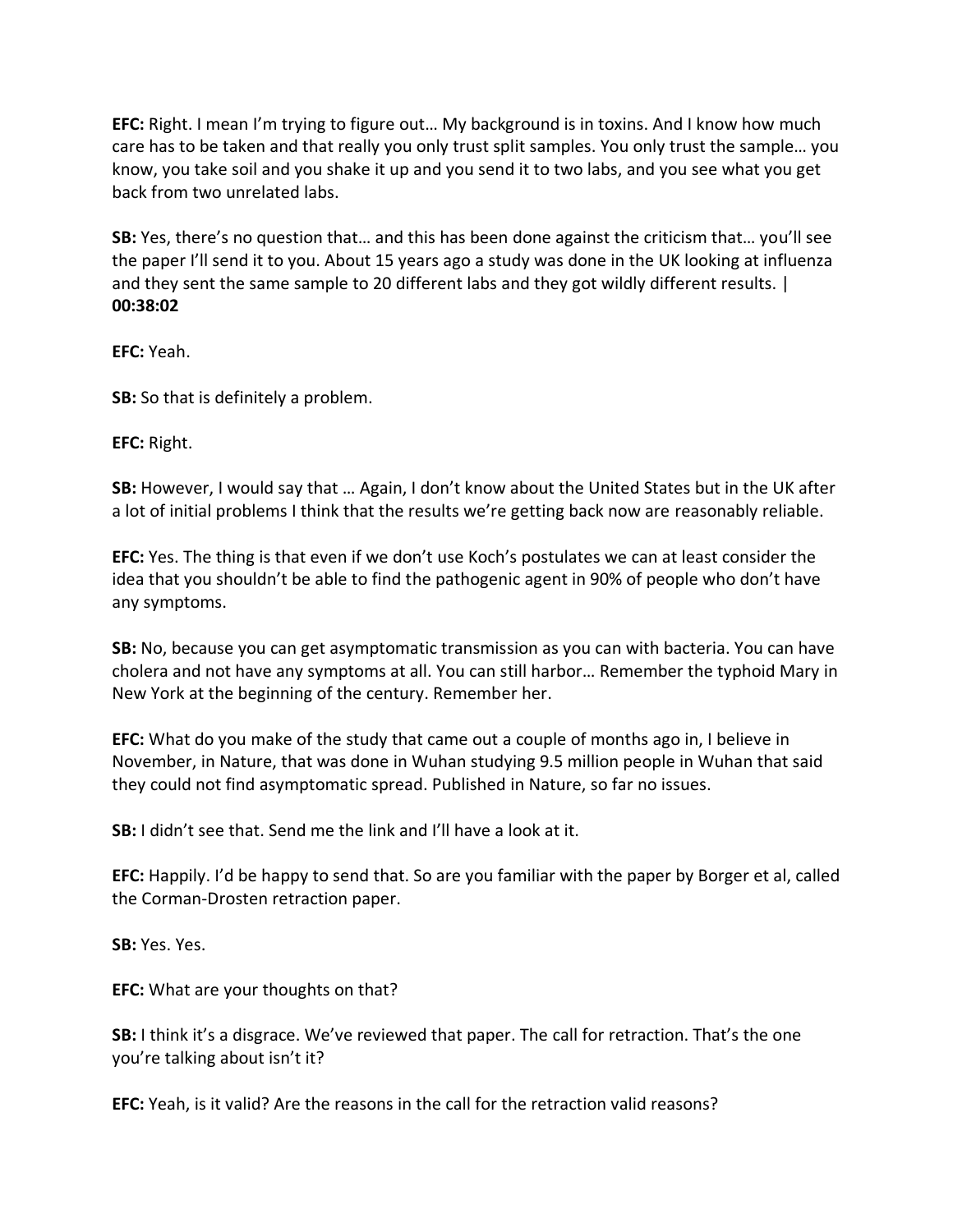**EFC:** Right. I mean I'm trying to figure out… My background is in toxins. And I know how much care has to be taken and that really you only trust split samples. You only trust the sample… you know, you take soil and you shake it up and you send it to two labs, and you see what you get back from two unrelated labs.

**SB:** Yes, there's no question that… and this has been done against the criticism that… you'll see the paper I'll send it to you. About 15 years ago a study was done in the UK looking at influenza and they sent the same sample to 20 different labs and they got wildly different results. | **00:38:02**

**EFC:** Yeah.

**SB:** So that is definitely a problem.

**EFC:** Right.

**SB:** However, I would say that … Again, I don't know about the United States but in the UK after a lot of initial problems I think that the results we're getting back now are reasonably reliable.

**EFC:** Yes. The thing is that even if we don't use Koch's postulates we can at least consider the idea that you shouldn't be able to find the pathogenic agent in 90% of people who don't have any symptoms.

**SB:** No, because you can get asymptomatic transmission as you can with bacteria. You can have cholera and not have any symptoms at all. You can still harbor… Remember the typhoid Mary in New York at the beginning of the century. Remember her.

**EFC:** What do you make of the study that came out a couple of months ago in, I believe in November, in Nature, that was done in Wuhan studying 9.5 million people in Wuhan that said they could not find asymptomatic spread. Published in Nature, so far no issues.

**SB:** I didn't see that. Send me the link and I'll have a look at it.

**EFC:** Happily. I'd be happy to send that. So are you familiar with the paper by Borger et al, called the Corman-Drosten retraction paper.

**SB:** Yes. Yes.

**EFC:** What are your thoughts on that?

**SB:** I think it's a disgrace. We've reviewed that paper. The call for retraction. That's the one you're talking about isn't it?

**EFC:** Yeah, is it valid? Are the reasons in the call for the retraction valid reasons?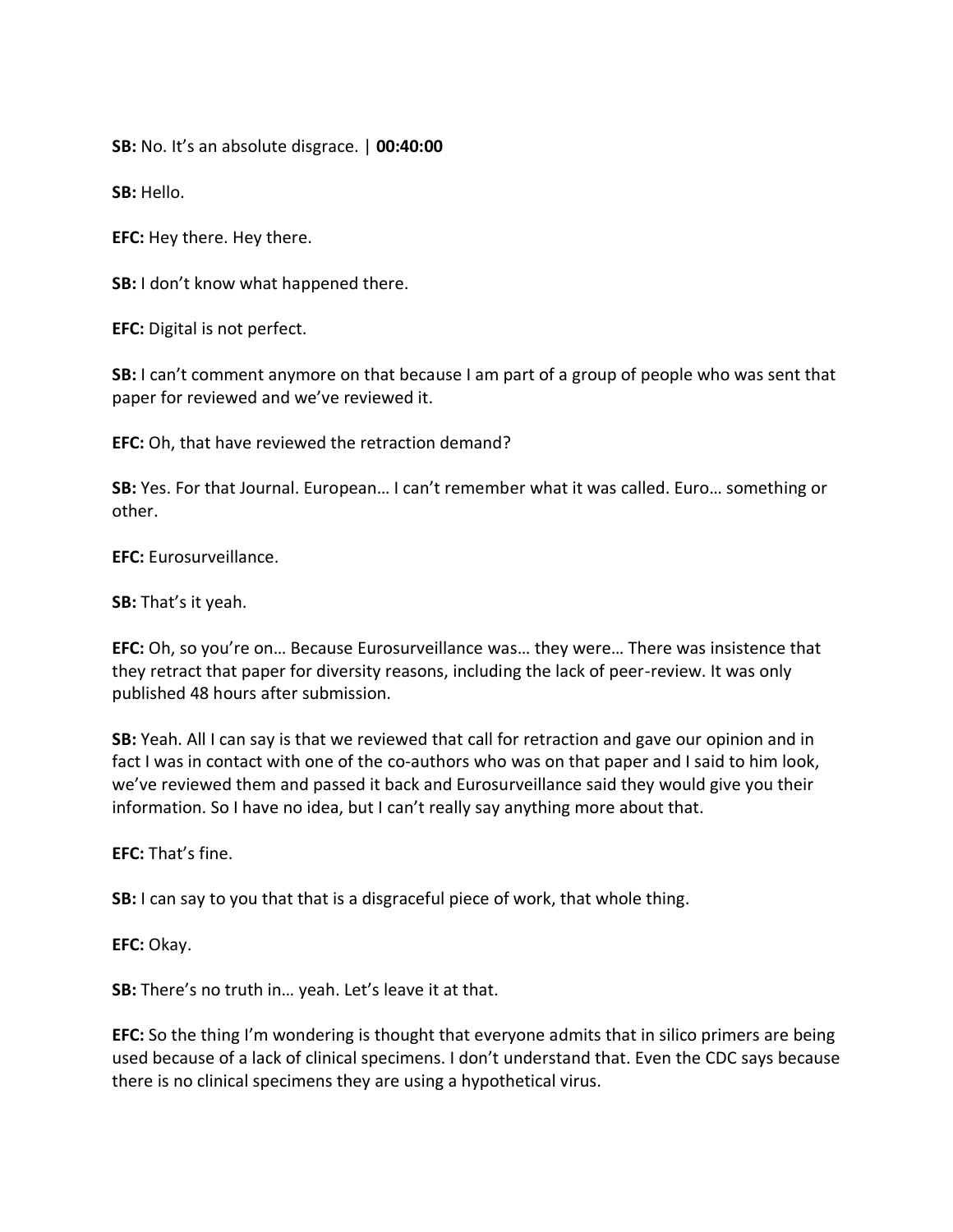**SB:** No. It's an absolute disgrace. | **00:40:00**

**SB:** Hello.

**EFC:** Hey there. Hey there.

**SB:** I don't know what happened there.

**EFC:** Digital is not perfect.

**SB:** I can't comment anymore on that because I am part of a group of people who was sent that paper for reviewed and we've reviewed it.

**EFC:** Oh, that have reviewed the retraction demand?

**SB:** Yes. For that Journal. European… I can't remember what it was called. Euro… something or other.

**EFC:** Eurosurveillance.

**SB:** That's it yeah.

**EFC:** Oh, so you're on… Because Eurosurveillance was… they were… There was insistence that they retract that paper for diversity reasons, including the lack of peer-review. It was only published 48 hours after submission.

**SB:** Yeah. All I can say is that we reviewed that call for retraction and gave our opinion and in fact I was in contact with one of the co-authors who was on that paper and I said to him look, we've reviewed them and passed it back and Eurosurveillance said they would give you their information. So I have no idea, but I can't really say anything more about that.

**EFC:** That's fine.

**SB:** I can say to you that that is a disgraceful piece of work, that whole thing.

**EFC:** Okay.

**SB:** There's no truth in… yeah. Let's leave it at that.

**EFC:** So the thing I'm wondering is thought that everyone admits that in silico primers are being used because of a lack of clinical specimens. I don't understand that. Even the CDC says because there is no clinical specimens they are using a hypothetical virus.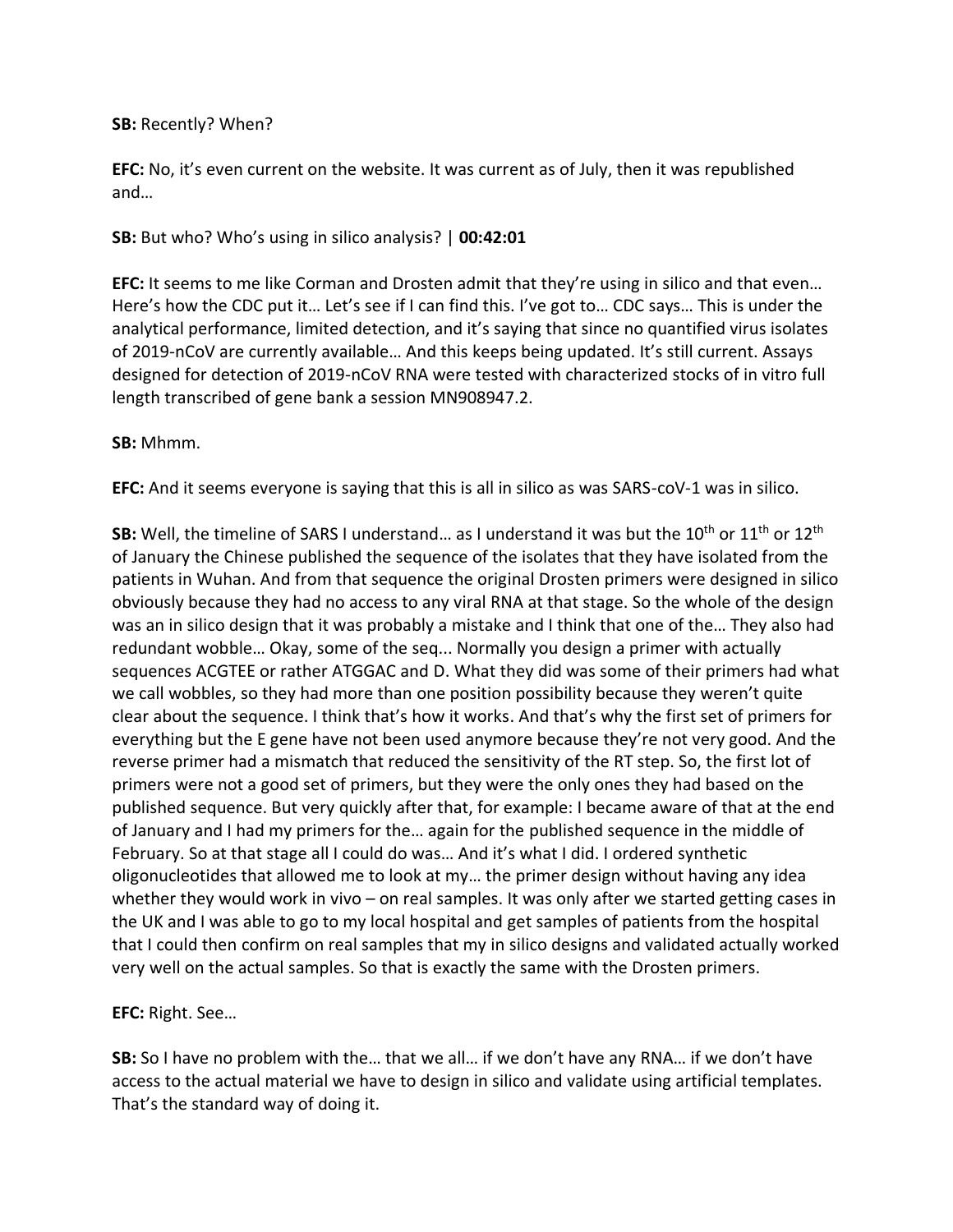#### **SB:** Recently? When?

**EFC:** No, it's even current on the website. It was current as of July, then it was republished and…

#### **SB:** But who? Who's using in silico analysis? | **00:42:01**

**EFC:** It seems to me like Corman and Drosten admit that they're using in silico and that even… Here's how the CDC put it… Let's see if I can find this. I've got to… CDC says… This is under the analytical performance, limited detection, and it's saying that since no quantified virus isolates of 2019-nCoV are currently available… And this keeps being updated. It's still current. Assays designed for detection of 2019-nCoV RNA were tested with characterized stocks of in vitro full length transcribed of gene bank a session MN908947.2.

#### **SB:** Mhmm.

**EFC:** And it seems everyone is saying that this is all in silico as was SARS-coV-1 was in silico.

**SB:** Well, the timeline of SARS I understand... as I understand it was but the 10<sup>th</sup> or 11<sup>th</sup> or 12<sup>th</sup> of January the Chinese published the sequence of the isolates that they have isolated from the patients in Wuhan. And from that sequence the original Drosten primers were designed in silico obviously because they had no access to any viral RNA at that stage. So the whole of the design was an in silico design that it was probably a mistake and I think that one of the… They also had redundant wobble… Okay, some of the seq... Normally you design a primer with actually sequences ACGTEE or rather ATGGAC and D. What they did was some of their primers had what we call wobbles, so they had more than one position possibility because they weren't quite clear about the sequence. I think that's how it works. And that's why the first set of primers for everything but the E gene have not been used anymore because they're not very good. And the reverse primer had a mismatch that reduced the sensitivity of the RT step. So, the first lot of primers were not a good set of primers, but they were the only ones they had based on the published sequence. But very quickly after that, for example: I became aware of that at the end of January and I had my primers for the… again for the published sequence in the middle of February. So at that stage all I could do was… And it's what I did. I ordered synthetic oligonucleotides that allowed me to look at my… the primer design without having any idea whether they would work in vivo – on real samples. It was only after we started getting cases in the UK and I was able to go to my local hospital and get samples of patients from the hospital that I could then confirm on real samples that my in silico designs and validated actually worked very well on the actual samples. So that is exactly the same with the Drosten primers.

#### **EFC:** Right. See…

**SB:** So I have no problem with the… that we all… if we don't have any RNA… if we don't have access to the actual material we have to design in silico and validate using artificial templates. That's the standard way of doing it.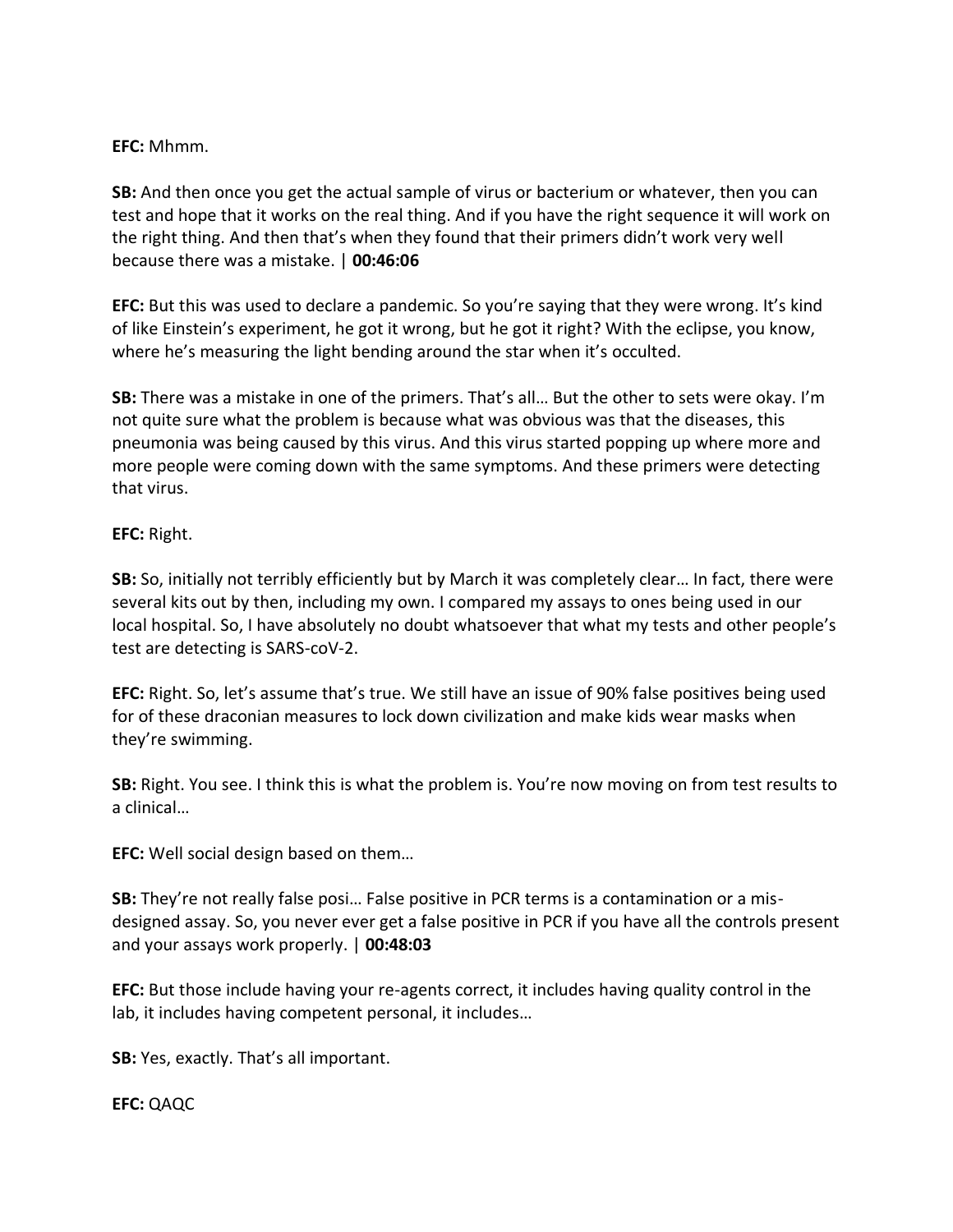#### **EFC:** Mhmm.

**SB:** And then once you get the actual sample of virus or bacterium or whatever, then you can test and hope that it works on the real thing. And if you have the right sequence it will work on the right thing. And then that's when they found that their primers didn't work very well because there was a mistake. | **00:46:06**

**EFC:** But this was used to declare a pandemic. So you're saying that they were wrong. It's kind of like Einstein's experiment, he got it wrong, but he got it right? With the eclipse, you know, where he's measuring the light bending around the star when it's occulted.

**SB:** There was a mistake in one of the primers. That's all… But the other to sets were okay. I'm not quite sure what the problem is because what was obvious was that the diseases, this pneumonia was being caused by this virus. And this virus started popping up where more and more people were coming down with the same symptoms. And these primers were detecting that virus.

#### **EFC:** Right.

**SB:** So, initially not terribly efficiently but by March it was completely clear… In fact, there were several kits out by then, including my own. I compared my assays to ones being used in our local hospital. So, I have absolutely no doubt whatsoever that what my tests and other people's test are detecting is SARS-coV-2.

**EFC:** Right. So, let's assume that's true. We still have an issue of 90% false positives being used for of these draconian measures to lock down civilization and make kids wear masks when they're swimming.

**SB:** Right. You see. I think this is what the problem is. You're now moving on from test results to a clinical…

**EFC:** Well social design based on them…

**SB:** They're not really false posi… False positive in PCR terms is a contamination or a misdesigned assay. So, you never ever get a false positive in PCR if you have all the controls present and your assays work properly. | **00:48:03**

**EFC:** But those include having your re-agents correct, it includes having quality control in the lab, it includes having competent personal, it includes…

**SB:** Yes, exactly. That's all important.

**EFC:** QAQC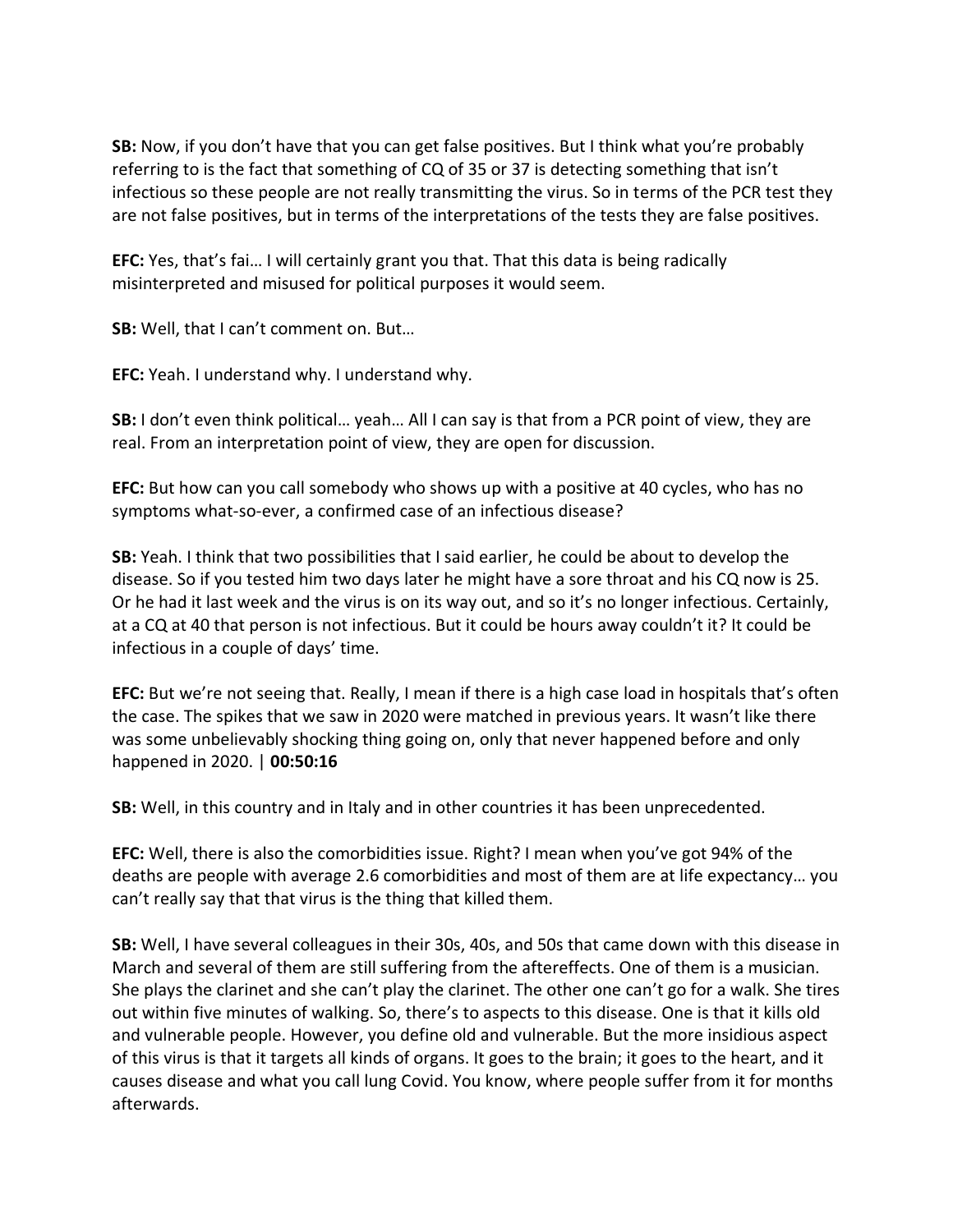**SB:** Now, if you don't have that you can get false positives. But I think what you're probably referring to is the fact that something of CQ of 35 or 37 is detecting something that isn't infectious so these people are not really transmitting the virus. So in terms of the PCR test they are not false positives, but in terms of the interpretations of the tests they are false positives.

**EFC:** Yes, that's fai… I will certainly grant you that. That this data is being radically misinterpreted and misused for political purposes it would seem.

**SB:** Well, that I can't comment on. But…

**EFC:** Yeah. I understand why. I understand why.

**SB:** I don't even think political… yeah… All I can say is that from a PCR point of view, they are real. From an interpretation point of view, they are open for discussion.

**EFC:** But how can you call somebody who shows up with a positive at 40 cycles, who has no symptoms what-so-ever, a confirmed case of an infectious disease?

**SB:** Yeah. I think that two possibilities that I said earlier, he could be about to develop the disease. So if you tested him two days later he might have a sore throat and his CQ now is 25. Or he had it last week and the virus is on its way out, and so it's no longer infectious. Certainly, at a CQ at 40 that person is not infectious. But it could be hours away couldn't it? It could be infectious in a couple of days' time.

**EFC:** But we're not seeing that. Really, I mean if there is a high case load in hospitals that's often the case. The spikes that we saw in 2020 were matched in previous years. It wasn't like there was some unbelievably shocking thing going on, only that never happened before and only happened in 2020. | **00:50:16**

**SB:** Well, in this country and in Italy and in other countries it has been unprecedented.

**EFC:** Well, there is also the comorbidities issue. Right? I mean when you've got 94% of the deaths are people with average 2.6 comorbidities and most of them are at life expectancy… you can't really say that that virus is the thing that killed them.

**SB:** Well, I have several colleagues in their 30s, 40s, and 50s that came down with this disease in March and several of them are still suffering from the aftereffects. One of them is a musician. She plays the clarinet and she can't play the clarinet. The other one can't go for a walk. She tires out within five minutes of walking. So, there's to aspects to this disease. One is that it kills old and vulnerable people. However, you define old and vulnerable. But the more insidious aspect of this virus is that it targets all kinds of organs. It goes to the brain; it goes to the heart, and it causes disease and what you call lung Covid. You know, where people suffer from it for months afterwards.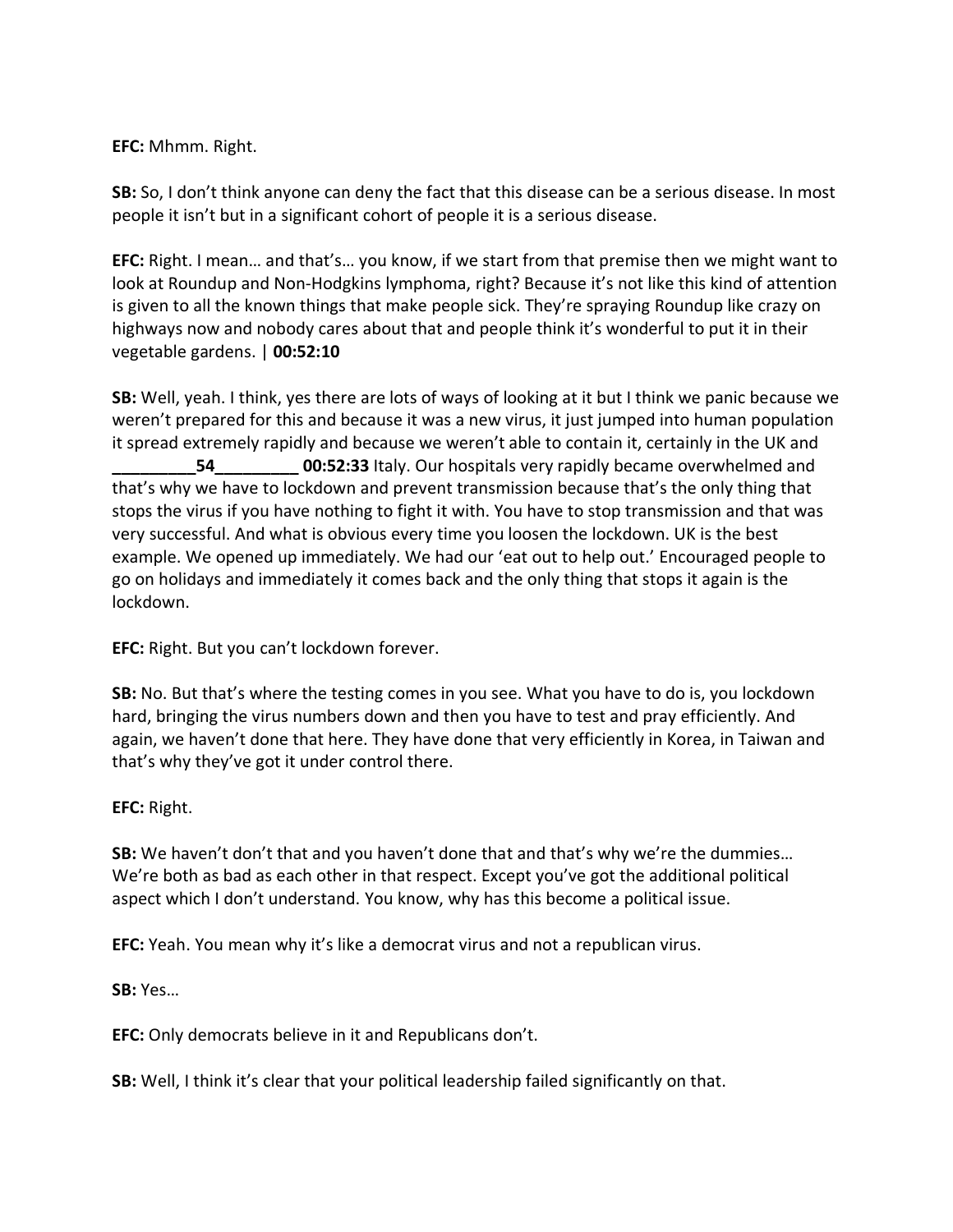**EFC:** Mhmm. Right.

**SB:** So, I don't think anyone can deny the fact that this disease can be a serious disease. In most people it isn't but in a significant cohort of people it is a serious disease.

**EFC:** Right. I mean… and that's… you know, if we start from that premise then we might want to look at Roundup and Non-Hodgkins lymphoma, right? Because it's not like this kind of attention is given to all the known things that make people sick. They're spraying Roundup like crazy on highways now and nobody cares about that and people think it's wonderful to put it in their vegetable gardens. | **00:52:10**

**SB:** Well, yeah. I think, yes there are lots of ways of looking at it but I think we panic because we weren't prepared for this and because it was a new virus, it just jumped into human population it spread extremely rapidly and because we weren't able to contain it, certainly in the UK and **54 00:52:33** Italy. Our hospitals very rapidly became overwhelmed and that's why we have to lockdown and prevent transmission because that's the only thing that stops the virus if you have nothing to fight it with. You have to stop transmission and that was very successful. And what is obvious every time you loosen the lockdown. UK is the best example. We opened up immediately. We had our 'eat out to help out.' Encouraged people to go on holidays and immediately it comes back and the only thing that stops it again is the lockdown.

**EFC:** Right. But you can't lockdown forever.

**SB:** No. But that's where the testing comes in you see. What you have to do is, you lockdown hard, bringing the virus numbers down and then you have to test and pray efficiently. And again, we haven't done that here. They have done that very efficiently in Korea, in Taiwan and that's why they've got it under control there.

**EFC:** Right.

**SB:** We haven't don't that and you haven't done that and that's why we're the dummies… We're both as bad as each other in that respect. Except you've got the additional political aspect which I don't understand. You know, why has this become a political issue.

**EFC:** Yeah. You mean why it's like a democrat virus and not a republican virus.

**SB:** Yes…

**EFC:** Only democrats believe in it and Republicans don't.

**SB:** Well, I think it's clear that your political leadership failed significantly on that.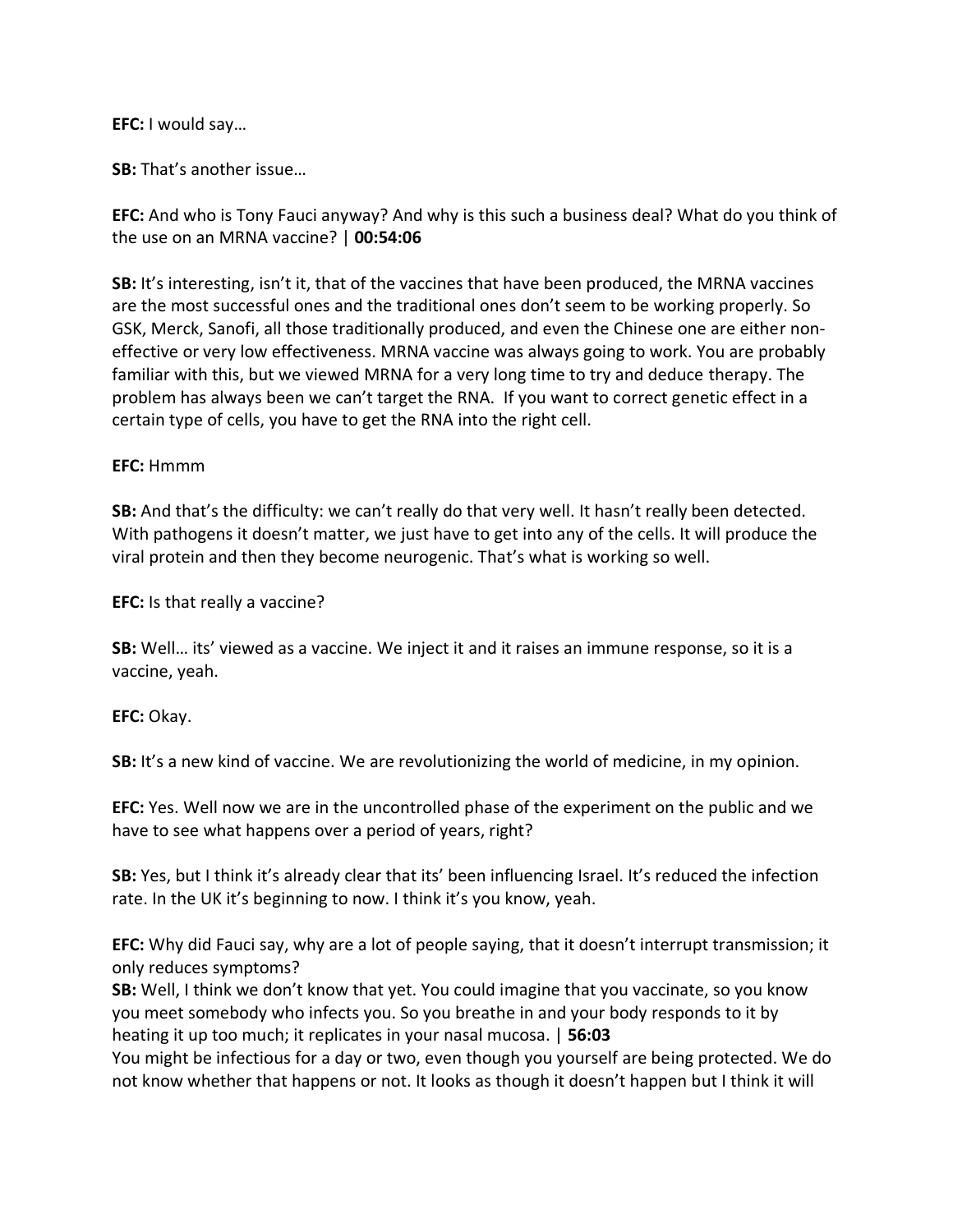#### **EFC:** I would say…

**SB:** That's another issue…

**EFC:** And who is Tony Fauci anyway? And why is this such a business deal? What do you think of the use on an MRNA vaccine? | **00:54:06**

**SB:** It's interesting, isn't it, that of the vaccines that have been produced, the MRNA vaccines are the most successful ones and the traditional ones don't seem to be working properly. So GSK, Merck, Sanofi, all those traditionally produced, and even the Chinese one are either noneffective or very low effectiveness. MRNA vaccine was always going to work. You are probably familiar with this, but we viewed MRNA for a very long time to try and deduce therapy. The problem has always been we can't target the RNA. If you want to correct genetic effect in a certain type of cells, you have to get the RNA into the right cell.

#### **EFC:** Hmmm

**SB:** And that's the difficulty: we can't really do that very well. It hasn't really been detected. With pathogens it doesn't matter, we just have to get into any of the cells. It will produce the viral protein and then they become neurogenic. That's what is working so well.

**EFC:** Is that really a vaccine?

**SB:** Well… its' viewed as a vaccine. We inject it and it raises an immune response, so it is a vaccine, yeah.

**EFC:** Okay.

**SB:** It's a new kind of vaccine. We are revolutionizing the world of medicine, in my opinion.

**EFC:** Yes. Well now we are in the uncontrolled phase of the experiment on the public and we have to see what happens over a period of years, right?

**SB:** Yes, but I think it's already clear that its' been influencing Israel. It's reduced the infection rate. In the UK it's beginning to now. I think it's you know, yeah.

**EFC:** Why did Fauci say, why are a lot of people saying, that it doesn't interrupt transmission; it only reduces symptoms?

**SB:** Well, I think we don't know that yet. You could imagine that you vaccinate, so you know you meet somebody who infects you. So you breathe in and your body responds to it by heating it up too much; it replicates in your nasal mucosa. | **56:03**

You might be infectious for a day or two, even though you yourself are being protected. We do not know whether that happens or not. It looks as though it doesn't happen but I think it will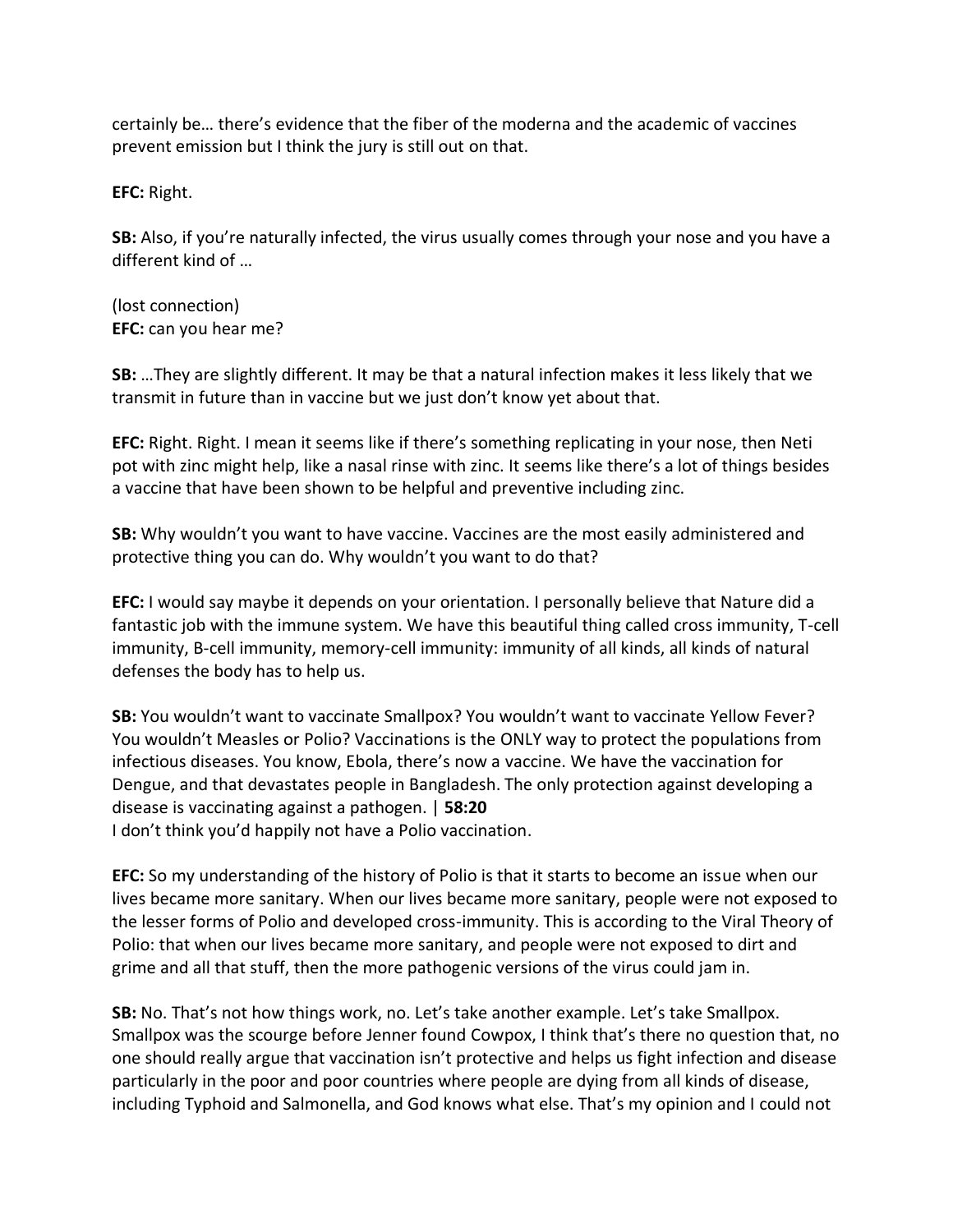certainly be… there's evidence that the fiber of the moderna and the academic of vaccines prevent emission but I think the jury is still out on that.

**EFC:** Right.

**SB:** Also, if you're naturally infected, the virus usually comes through your nose and you have a different kind of …

(lost connection) **EFC:** can you hear me?

**SB:** …They are slightly different. It may be that a natural infection makes it less likely that we transmit in future than in vaccine but we just don't know yet about that.

**EFC:** Right. Right. I mean it seems like if there's something replicating in your nose, then Neti pot with zinc might help, like a nasal rinse with zinc. It seems like there's a lot of things besides a vaccine that have been shown to be helpful and preventive including zinc.

**SB:** Why wouldn't you want to have vaccine. Vaccines are the most easily administered and protective thing you can do. Why wouldn't you want to do that?

**EFC:** I would say maybe it depends on your orientation. I personally believe that Nature did a fantastic job with the immune system. We have this beautiful thing called cross immunity, T-cell immunity, B-cell immunity, memory-cell immunity: immunity of all kinds, all kinds of natural defenses the body has to help us.

**SB:** You wouldn't want to vaccinate Smallpox? You wouldn't want to vaccinate Yellow Fever? You wouldn't Measles or Polio? Vaccinations is the ONLY way to protect the populations from infectious diseases. You know, Ebola, there's now a vaccine. We have the vaccination for Dengue, and that devastates people in Bangladesh. The only protection against developing a disease is vaccinating against a pathogen. | **58:20** I don't think you'd happily not have a Polio vaccination.

**EFC:** So my understanding of the history of Polio is that it starts to become an issue when our lives became more sanitary. When our lives became more sanitary, people were not exposed to the lesser forms of Polio and developed cross-immunity. This is according to the Viral Theory of Polio: that when our lives became more sanitary, and people were not exposed to dirt and grime and all that stuff, then the more pathogenic versions of the virus could jam in.

**SB:** No. That's not how things work, no. Let's take another example. Let's take Smallpox. Smallpox was the scourge before Jenner found Cowpox, I think that's there no question that, no one should really argue that vaccination isn't protective and helps us fight infection and disease particularly in the poor and poor countries where people are dying from all kinds of disease, including Typhoid and Salmonella, and God knows what else. That's my opinion and I could not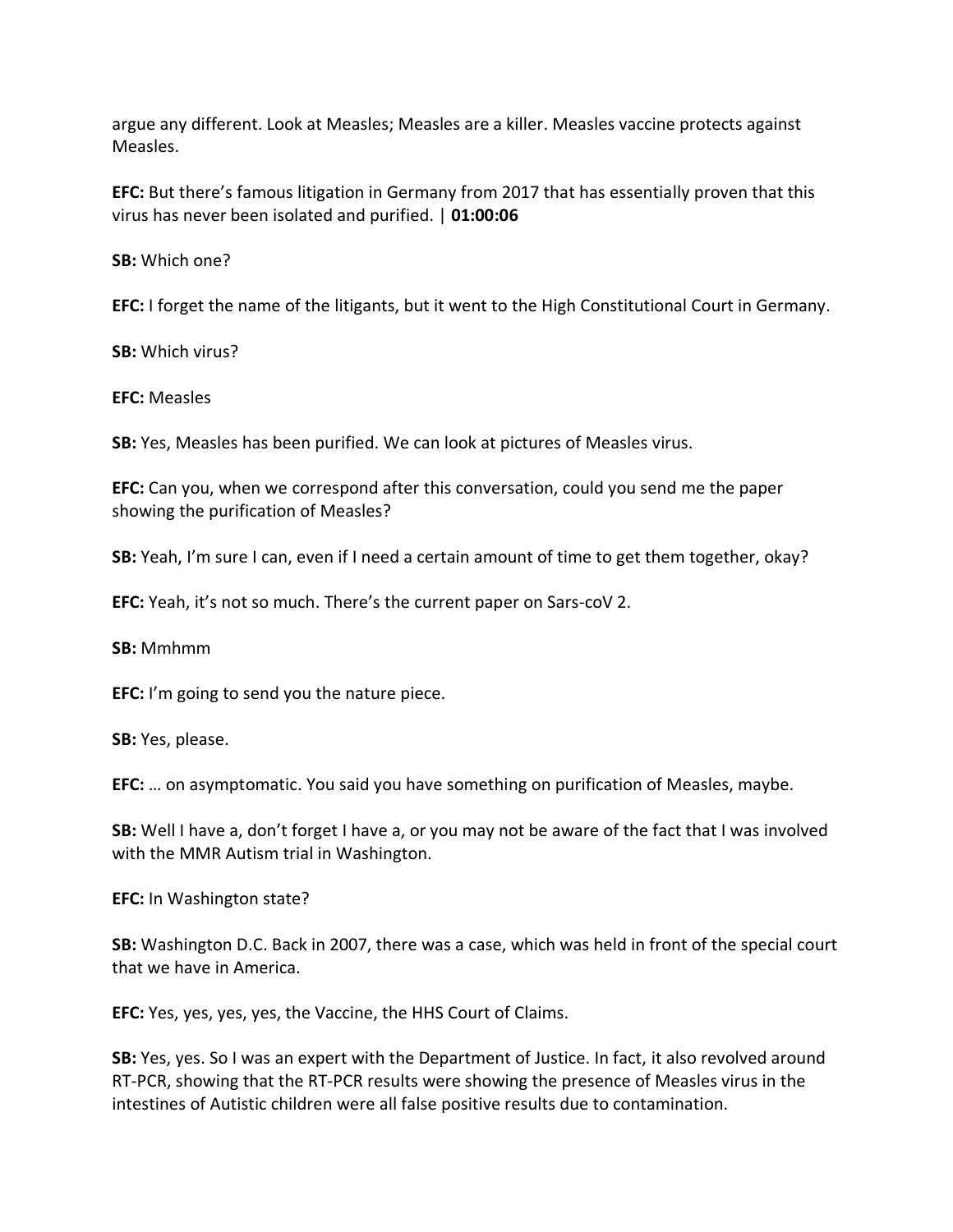argue any different. Look at Measles; Measles are a killer. Measles vaccine protects against Measles.

**EFC:** But there's famous litigation in Germany from 2017 that has essentially proven that this virus has never been isolated and purified. | **01:00:06**

**SB:** Which one?

**EFC:** I forget the name of the litigants, but it went to the High Constitutional Court in Germany.

**SB:** Which virus?

**EFC:** Measles

**SB:** Yes, Measles has been purified. We can look at pictures of Measles virus.

**EFC:** Can you, when we correspond after this conversation, could you send me the paper showing the purification of Measles?

**SB:** Yeah, I'm sure I can, even if I need a certain amount of time to get them together, okay?

**EFC:** Yeah, it's not so much. There's the current paper on Sars-coV 2.

**SB:** Mmhmm

**EFC:** I'm going to send you the nature piece.

**SB:** Yes, please.

**EFC:** … on asymptomatic. You said you have something on purification of Measles, maybe.

**SB:** Well I have a, don't forget I have a, or you may not be aware of the fact that I was involved with the MMR Autism trial in Washington.

**EFC:** In Washington state?

**SB:** Washington D.C. Back in 2007, there was a case, which was held in front of the special court that we have in America.

**EFC:** Yes, yes, yes, yes, the Vaccine, the HHS Court of Claims.

**SB:** Yes, yes. So I was an expert with the Department of Justice. In fact, it also revolved around RT-PCR, showing that the RT-PCR results were showing the presence of Measles virus in the intestines of Autistic children were all false positive results due to contamination.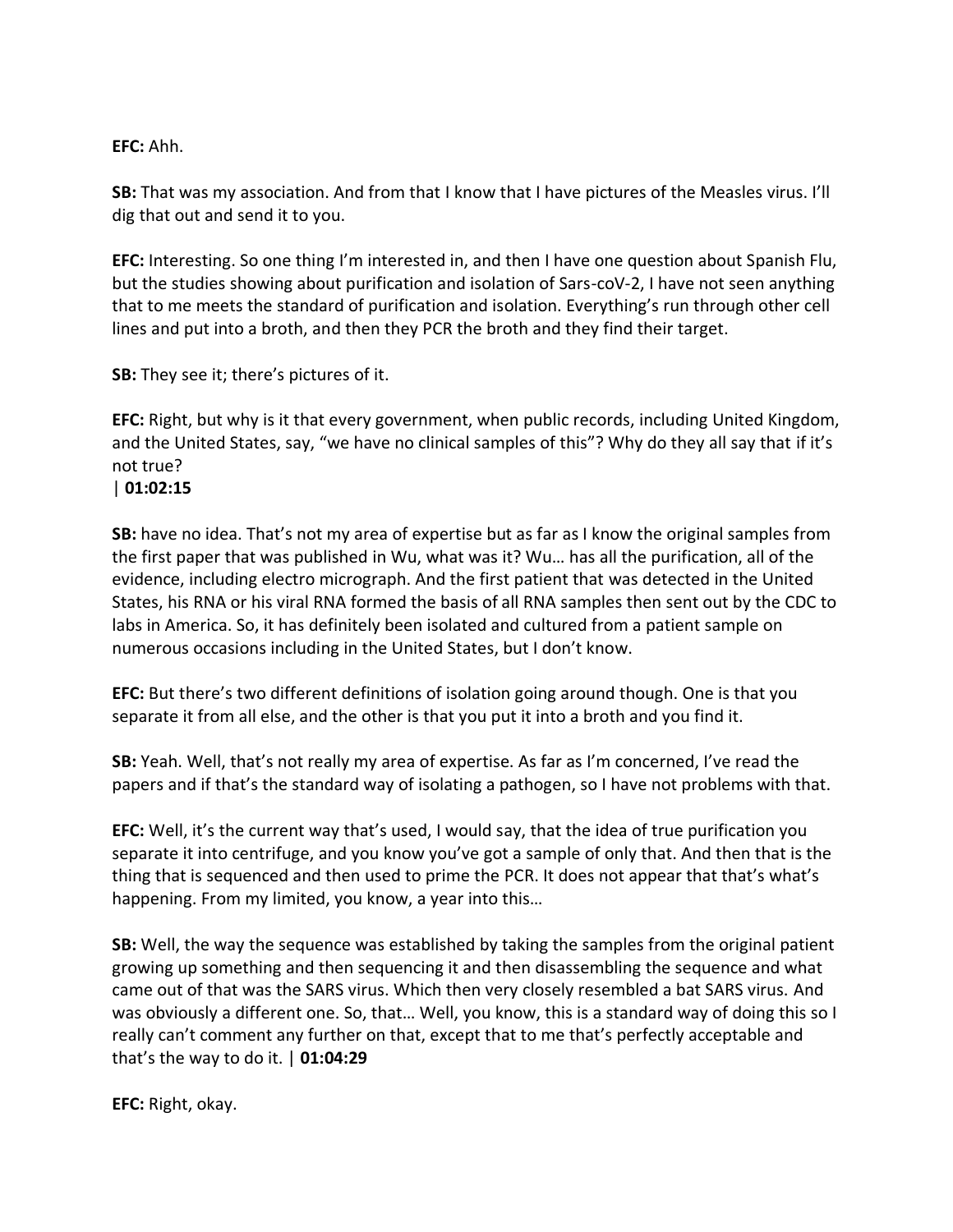#### **EFC:** Ahh.

**SB:** That was my association. And from that I know that I have pictures of the Measles virus. I'll dig that out and send it to you.

**EFC:** Interesting. So one thing I'm interested in, and then I have one question about Spanish Flu, but the studies showing about purification and isolation of Sars-coV-2, I have not seen anything that to me meets the standard of purification and isolation. Everything's run through other cell lines and put into a broth, and then they PCR the broth and they find their target.

**SB:** They see it; there's pictures of it.

**EFC:** Right, but why is it that every government, when public records, including United Kingdom, and the United States, say, "we have no clinical samples of this"? Why do they all say that if it's not true?

#### | **01:02:15**

**SB:** have no idea. That's not my area of expertise but as far as I know the original samples from the first paper that was published in Wu, what was it? Wu… has all the purification, all of the evidence, including electro micrograph. And the first patient that was detected in the United States, his RNA or his viral RNA formed the basis of all RNA samples then sent out by the CDC to labs in America. So, it has definitely been isolated and cultured from a patient sample on numerous occasions including in the United States, but I don't know.

**EFC:** But there's two different definitions of isolation going around though. One is that you separate it from all else, and the other is that you put it into a broth and you find it.

**SB:** Yeah. Well, that's not really my area of expertise. As far as I'm concerned, I've read the papers and if that's the standard way of isolating a pathogen, so I have not problems with that.

**EFC:** Well, it's the current way that's used, I would say, that the idea of true purification you separate it into centrifuge, and you know you've got a sample of only that. And then that is the thing that is sequenced and then used to prime the PCR. It does not appear that that's what's happening. From my limited, you know, a year into this…

**SB:** Well, the way the sequence was established by taking the samples from the original patient growing up something and then sequencing it and then disassembling the sequence and what came out of that was the SARS virus. Which then very closely resembled a bat SARS virus. And was obviously a different one. So, that… Well, you know, this is a standard way of doing this so I really can't comment any further on that, except that to me that's perfectly acceptable and that's the way to do it. | **01:04:29**

**EFC:** Right, okay.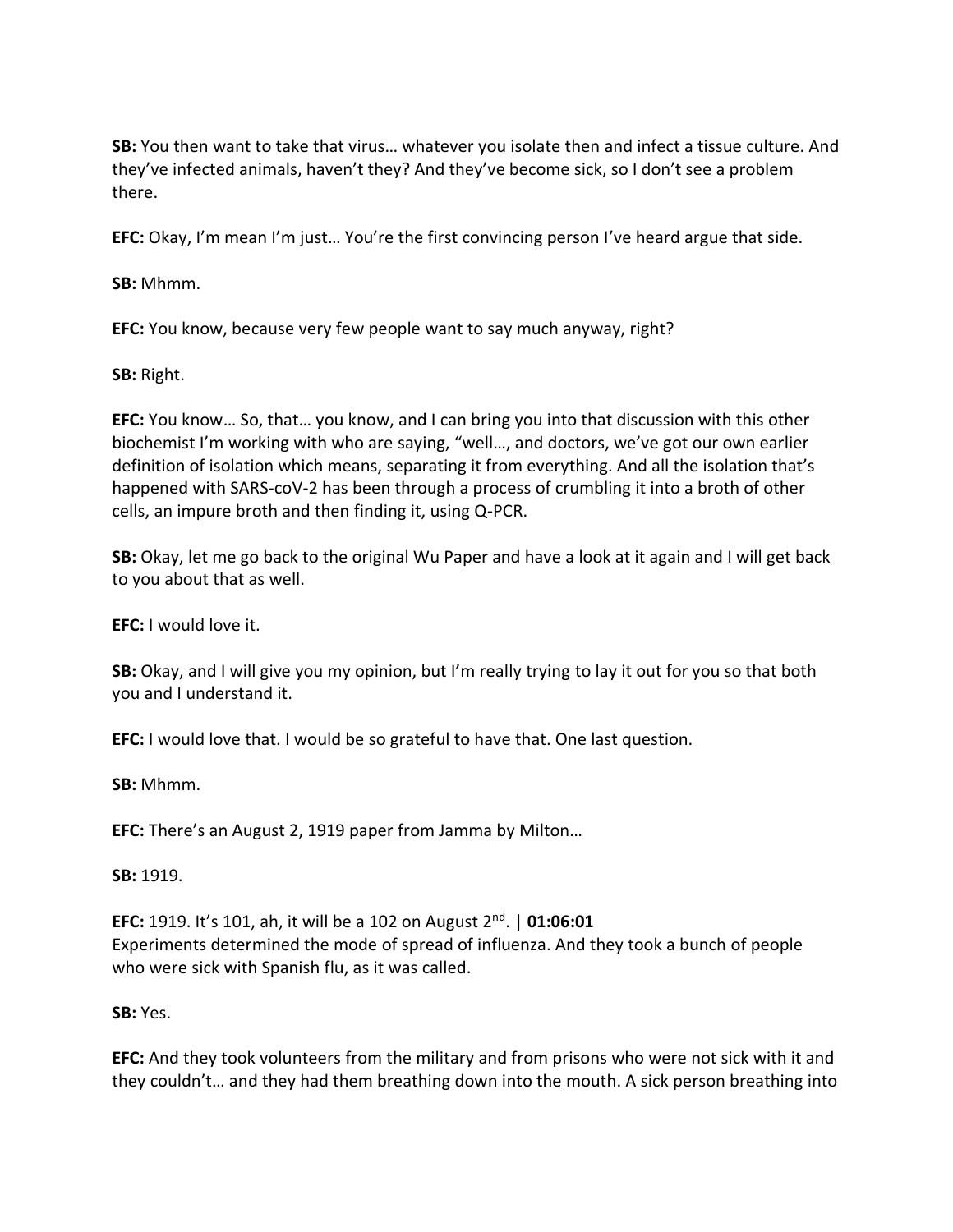**SB:** You then want to take that virus… whatever you isolate then and infect a tissue culture. And they've infected animals, haven't they? And they've become sick, so I don't see a problem there.

**EFC:** Okay, I'm mean I'm just… You're the first convincing person I've heard argue that side.

**SB:** Mhmm.

**EFC:** You know, because very few people want to say much anyway, right?

**SB:** Right.

**EFC:** You know… So, that… you know, and I can bring you into that discussion with this other biochemist I'm working with who are saying, "well…, and doctors, we've got our own earlier definition of isolation which means, separating it from everything. And all the isolation that's happened with SARS-coV-2 has been through a process of crumbling it into a broth of other cells, an impure broth and then finding it, using Q-PCR.

**SB:** Okay, let me go back to the original Wu Paper and have a look at it again and I will get back to you about that as well.

**EFC:** I would love it.

**SB:** Okay, and I will give you my opinion, but I'm really trying to lay it out for you so that both you and I understand it.

**EFC:** I would love that. I would be so grateful to have that. One last question.

**SB:** Mhmm.

**EFC:** There's an August 2, 1919 paper from Jamma by Milton…

**SB:** 1919.

**EFC:** 1919. It's 101, ah, it will be a 102 on August 2nd. | **01:06:01** Experiments determined the mode of spread of influenza. And they took a bunch of people who were sick with Spanish flu, as it was called.

**SB:** Yes.

**EFC:** And they took volunteers from the military and from prisons who were not sick with it and they couldn't… and they had them breathing down into the mouth. A sick person breathing into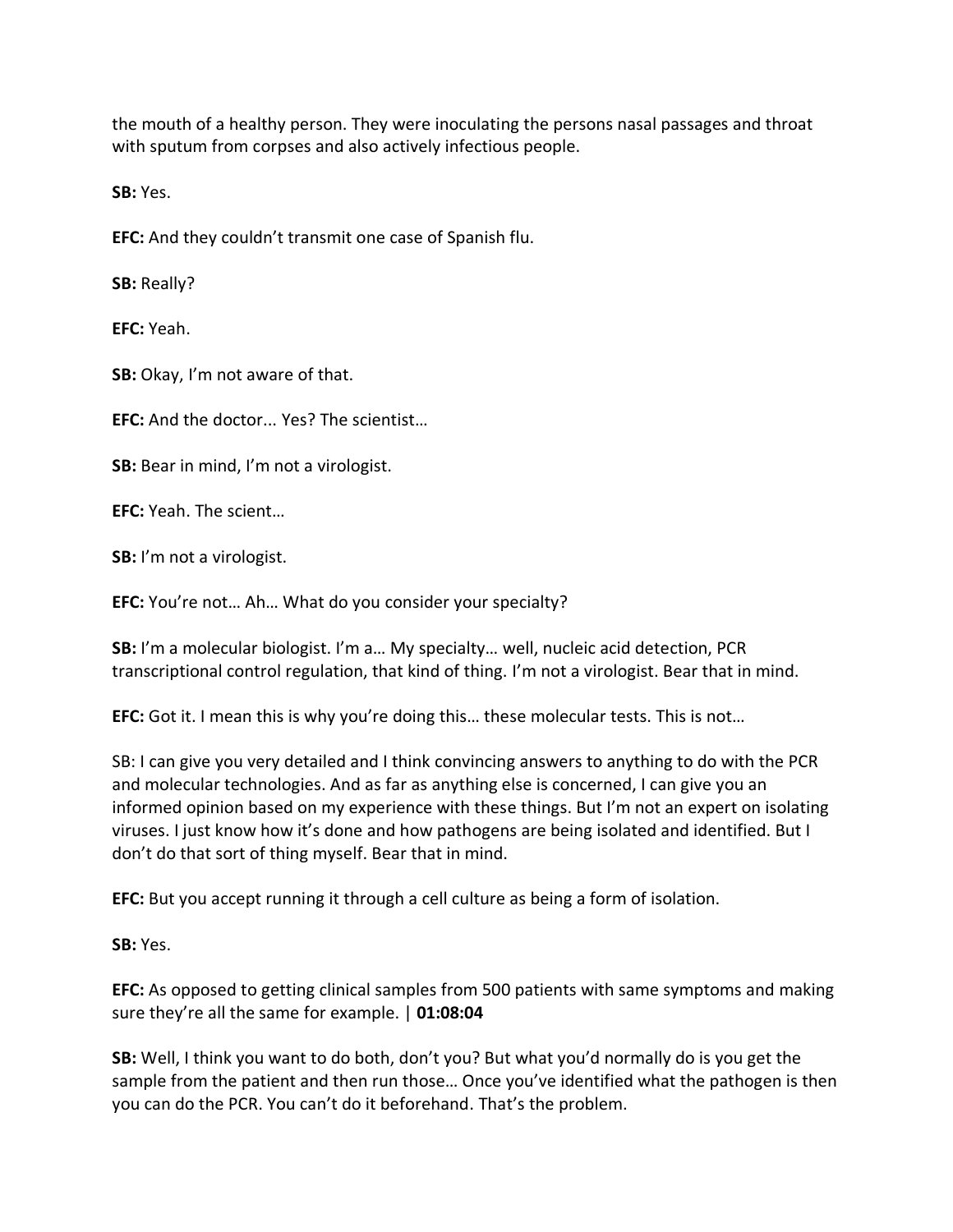the mouth of a healthy person. They were inoculating the persons nasal passages and throat with sputum from corpses and also actively infectious people.

**SB:** Yes.

**EFC:** And they couldn't transmit one case of Spanish flu.

**SB:** Really?

**EFC:** Yeah.

**SB:** Okay, I'm not aware of that.

**EFC:** And the doctor... Yes? The scientist…

**SB:** Bear in mind, I'm not a virologist.

**EFC:** Yeah. The scient…

**SB:** I'm not a virologist.

**EFC:** You're not… Ah… What do you consider your specialty?

**SB:** I'm a molecular biologist. I'm a… My specialty… well, nucleic acid detection, PCR transcriptional control regulation, that kind of thing. I'm not a virologist. Bear that in mind.

**EFC:** Got it. I mean this is why you're doing this… these molecular tests. This is not…

SB: I can give you very detailed and I think convincing answers to anything to do with the PCR and molecular technologies. And as far as anything else is concerned, I can give you an informed opinion based on my experience with these things. But I'm not an expert on isolating viruses. I just know how it's done and how pathogens are being isolated and identified. But I don't do that sort of thing myself. Bear that in mind.

**EFC:** But you accept running it through a cell culture as being a form of isolation.

**SB:** Yes.

**EFC:** As opposed to getting clinical samples from 500 patients with same symptoms and making sure they're all the same for example. | **01:08:04**

**SB:** Well, I think you want to do both, don't you? But what you'd normally do is you get the sample from the patient and then run those… Once you've identified what the pathogen is then you can do the PCR. You can't do it beforehand. That's the problem.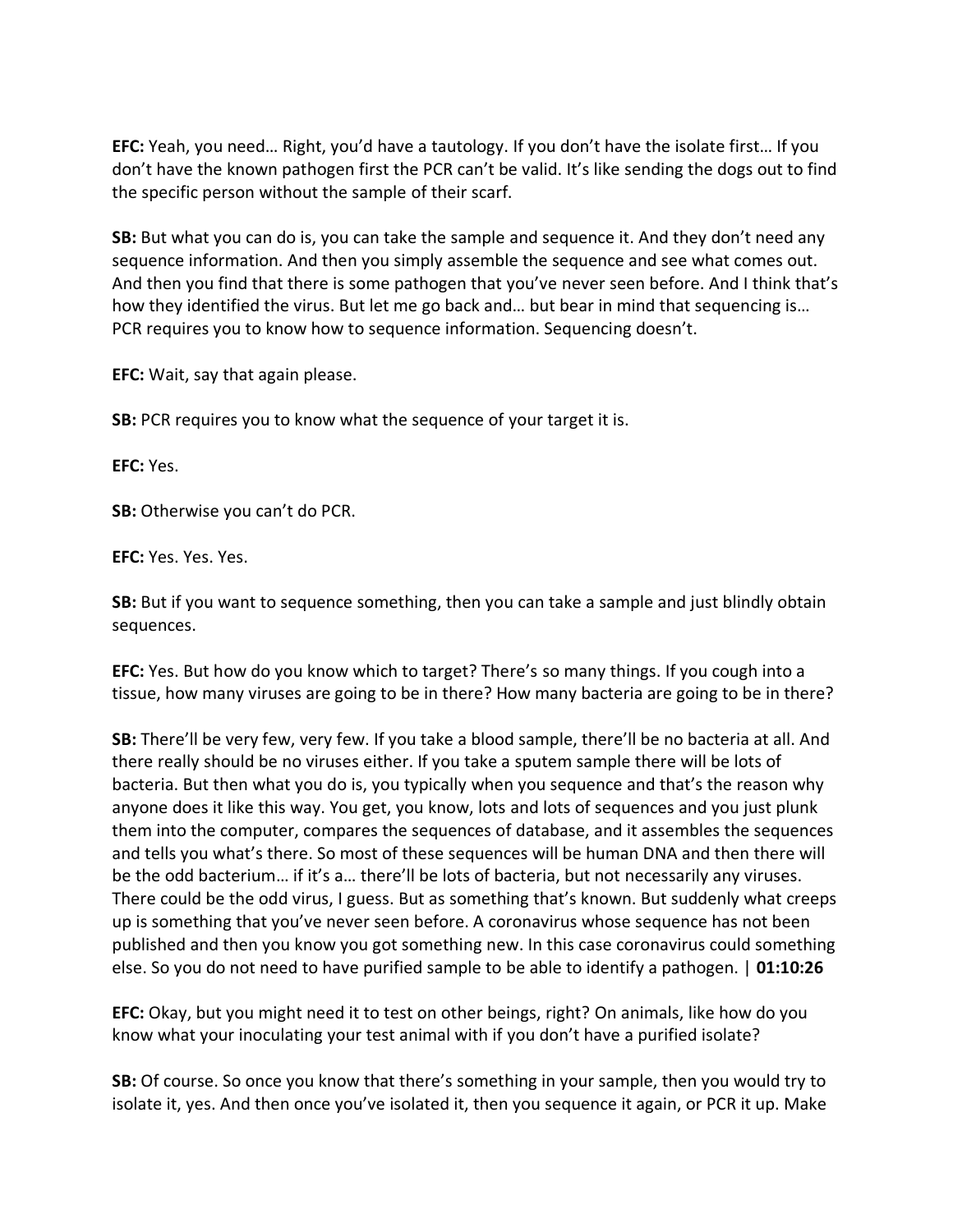**EFC:** Yeah, you need… Right, you'd have a tautology. If you don't have the isolate first… If you don't have the known pathogen first the PCR can't be valid. It's like sending the dogs out to find the specific person without the sample of their scarf.

**SB:** But what you can do is, you can take the sample and sequence it. And they don't need any sequence information. And then you simply assemble the sequence and see what comes out. And then you find that there is some pathogen that you've never seen before. And I think that's how they identified the virus. But let me go back and… but bear in mind that sequencing is… PCR requires you to know how to sequence information. Sequencing doesn't.

**EFC:** Wait, say that again please.

**SB:** PCR requires you to know what the sequence of your target it is.

**EFC:** Yes.

**SB:** Otherwise you can't do PCR.

**EFC:** Yes. Yes. Yes.

**SB:** But if you want to sequence something, then you can take a sample and just blindly obtain sequences.

**EFC:** Yes. But how do you know which to target? There's so many things. If you cough into a tissue, how many viruses are going to be in there? How many bacteria are going to be in there?

**SB:** There'll be very few, very few. If you take a blood sample, there'll be no bacteria at all. And there really should be no viruses either. If you take a sputem sample there will be lots of bacteria. But then what you do is, you typically when you sequence and that's the reason why anyone does it like this way. You get, you know, lots and lots of sequences and you just plunk them into the computer, compares the sequences of database, and it assembles the sequences and tells you what's there. So most of these sequences will be human DNA and then there will be the odd bacterium… if it's a… there'll be lots of bacteria, but not necessarily any viruses. There could be the odd virus, I guess. But as something that's known. But suddenly what creeps up is something that you've never seen before. A coronavirus whose sequence has not been published and then you know you got something new. In this case coronavirus could something else. So you do not need to have purified sample to be able to identify a pathogen. | **01:10:26**

**EFC:** Okay, but you might need it to test on other beings, right? On animals, like how do you know what your inoculating your test animal with if you don't have a purified isolate?

**SB:** Of course. So once you know that there's something in your sample, then you would try to isolate it, yes. And then once you've isolated it, then you sequence it again, or PCR it up. Make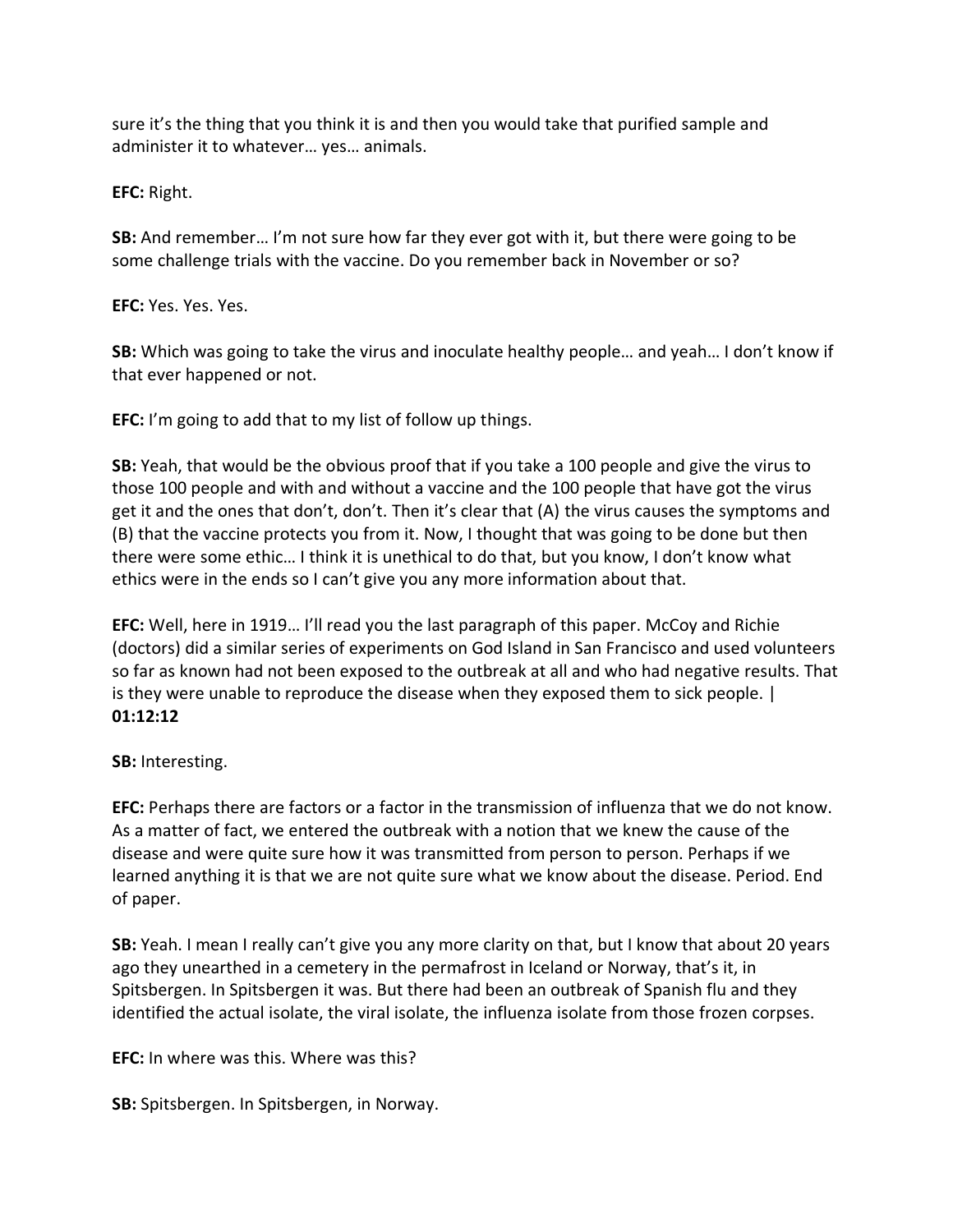sure it's the thing that you think it is and then you would take that purified sample and administer it to whatever… yes… animals.

**EFC:** Right.

**SB:** And remember… I'm not sure how far they ever got with it, but there were going to be some challenge trials with the vaccine. Do you remember back in November or so?

**EFC:** Yes. Yes. Yes.

**SB:** Which was going to take the virus and inoculate healthy people… and yeah… I don't know if that ever happened or not.

**EFC:** I'm going to add that to my list of follow up things.

**SB:** Yeah, that would be the obvious proof that if you take a 100 people and give the virus to those 100 people and with and without a vaccine and the 100 people that have got the virus get it and the ones that don't, don't. Then it's clear that (A) the virus causes the symptoms and (B) that the vaccine protects you from it. Now, I thought that was going to be done but then there were some ethic… I think it is unethical to do that, but you know, I don't know what ethics were in the ends so I can't give you any more information about that.

**EFC:** Well, here in 1919… I'll read you the last paragraph of this paper. McCoy and Richie (doctors) did a similar series of experiments on God Island in San Francisco and used volunteers so far as known had not been exposed to the outbreak at all and who had negative results. That is they were unable to reproduce the disease when they exposed them to sick people. | **01:12:12**

**SB:** Interesting.

**EFC:** Perhaps there are factors or a factor in the transmission of influenza that we do not know. As a matter of fact, we entered the outbreak with a notion that we knew the cause of the disease and were quite sure how it was transmitted from person to person. Perhaps if we learned anything it is that we are not quite sure what we know about the disease. Period. End of paper.

**SB:** Yeah. I mean I really can't give you any more clarity on that, but I know that about 20 years ago they unearthed in a cemetery in the permafrost in Iceland or Norway, that's it, in Spitsbergen. In Spitsbergen it was. But there had been an outbreak of Spanish flu and they identified the actual isolate, the viral isolate, the influenza isolate from those frozen corpses.

**EFC:** In where was this. Where was this?

**SB:** Spitsbergen. In Spitsbergen, in Norway.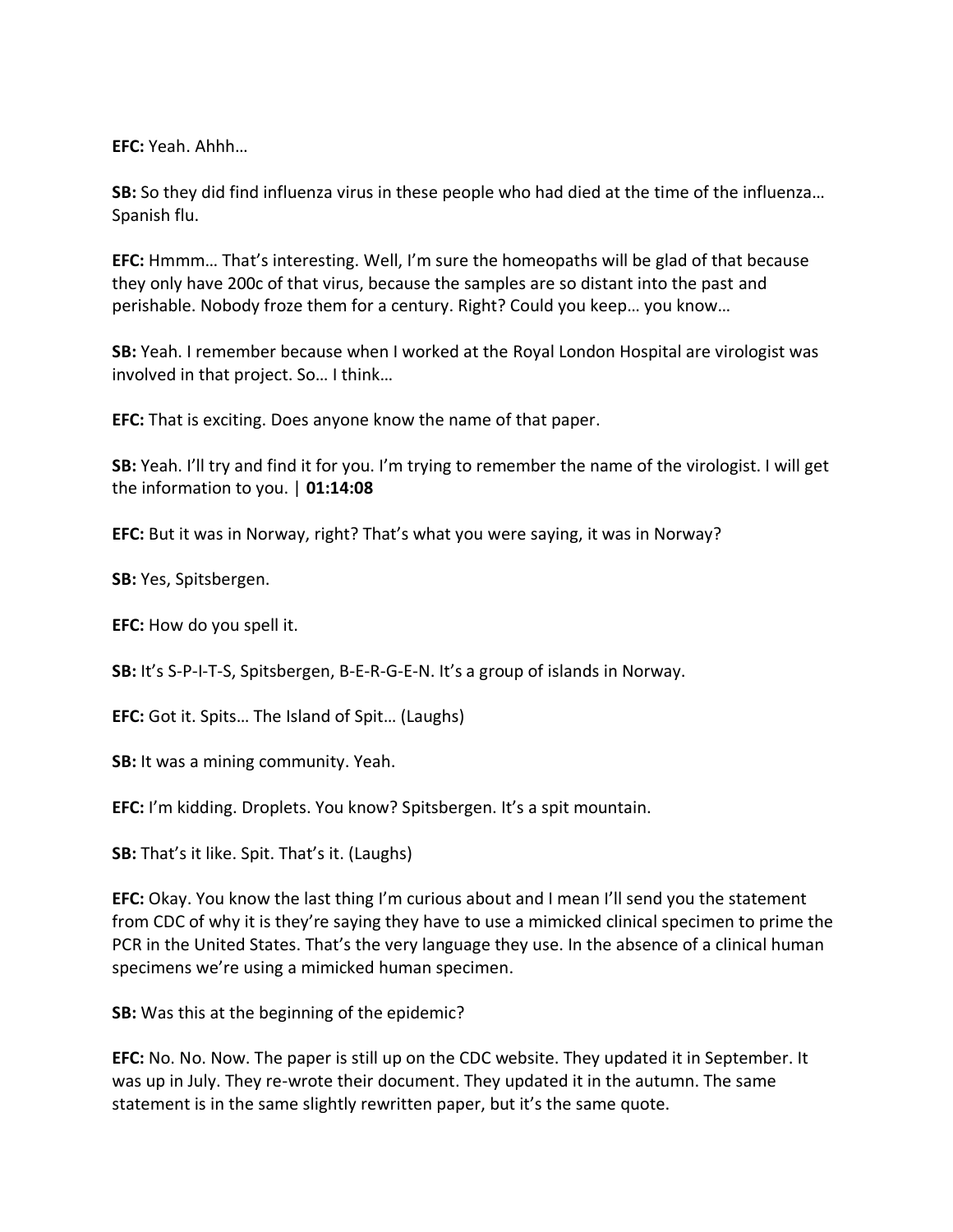**EFC:** Yeah. Ahhh…

**SB:** So they did find influenza virus in these people who had died at the time of the influenza… Spanish flu.

**EFC:** Hmmm… That's interesting. Well, I'm sure the homeopaths will be glad of that because they only have 200c of that virus, because the samples are so distant into the past and perishable. Nobody froze them for a century. Right? Could you keep… you know…

**SB:** Yeah. I remember because when I worked at the Royal London Hospital are virologist was involved in that project. So… I think…

**EFC:** That is exciting. Does anyone know the name of that paper.

**SB:** Yeah. I'll try and find it for you. I'm trying to remember the name of the virologist. I will get the information to you. | **01:14:08**

**EFC:** But it was in Norway, right? That's what you were saying, it was in Norway?

**SB:** Yes, Spitsbergen.

**EFC:** How do you spell it.

**SB:** It's S-P-I-T-S, Spitsbergen, B-E-R-G-E-N. It's a group of islands in Norway.

**EFC:** Got it. Spits… The Island of Spit… (Laughs)

**SB:** It was a mining community. Yeah.

**EFC:** I'm kidding. Droplets. You know? Spitsbergen. It's a spit mountain.

**SB:** That's it like. Spit. That's it. (Laughs)

**EFC:** Okay. You know the last thing I'm curious about and I mean I'll send you the statement from CDC of why it is they're saying they have to use a mimicked clinical specimen to prime the PCR in the United States. That's the very language they use. In the absence of a clinical human specimens we're using a mimicked human specimen.

**SB:** Was this at the beginning of the epidemic?

**EFC:** No. No. Now. The paper is still up on the CDC website. They updated it in September. It was up in July. They re-wrote their document. They updated it in the autumn. The same statement is in the same slightly rewritten paper, but it's the same quote.